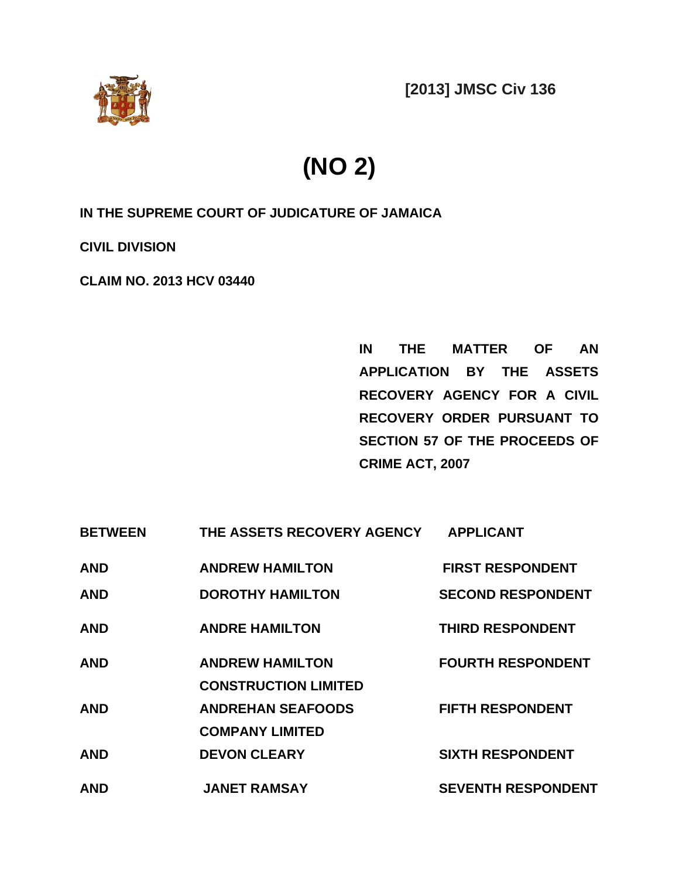

**[2013] JMSC Civ 136**

# **(NO 2)**

**IN THE SUPREME COURT OF JUDICATURE OF JAMAICA**

**CIVIL DIVISION**

**CLAIM NO. 2013 HCV 03440**

**IN THE MATTER OF AN APPLICATION BY THE ASSETS RECOVERY AGENCY FOR A CIVIL RECOVERY ORDER PURSUANT TO SECTION 57 OF THE PROCEEDS OF CRIME ACT, 2007**

| <b>BETWEEN</b> | THE ASSETS RECOVERY AGENCY  | <b>APPLICANT</b>          |
|----------------|-----------------------------|---------------------------|
| <b>AND</b>     | <b>ANDREW HAMILTON</b>      | <b>FIRST RESPONDENT</b>   |
| <b>AND</b>     | <b>DOROTHY HAMILTON</b>     | <b>SECOND RESPONDENT</b>  |
| <b>AND</b>     | <b>ANDRE HAMILTON</b>       | <b>THIRD RESPONDENT</b>   |
| <b>AND</b>     | <b>ANDREW HAMILTON</b>      | <b>FOURTH RESPONDENT</b>  |
|                | <b>CONSTRUCTION LIMITED</b> |                           |
| <b>AND</b>     | <b>ANDREHAN SEAFOODS</b>    | <b>FIFTH RESPONDENT</b>   |
|                | <b>COMPANY LIMITED</b>      |                           |
| <b>AND</b>     | <b>DEVON CLEARY</b>         | <b>SIXTH RESPONDENT</b>   |
| <b>AND</b>     | <b>JANET RAMSAY</b>         | <b>SEVENTH RESPONDENT</b> |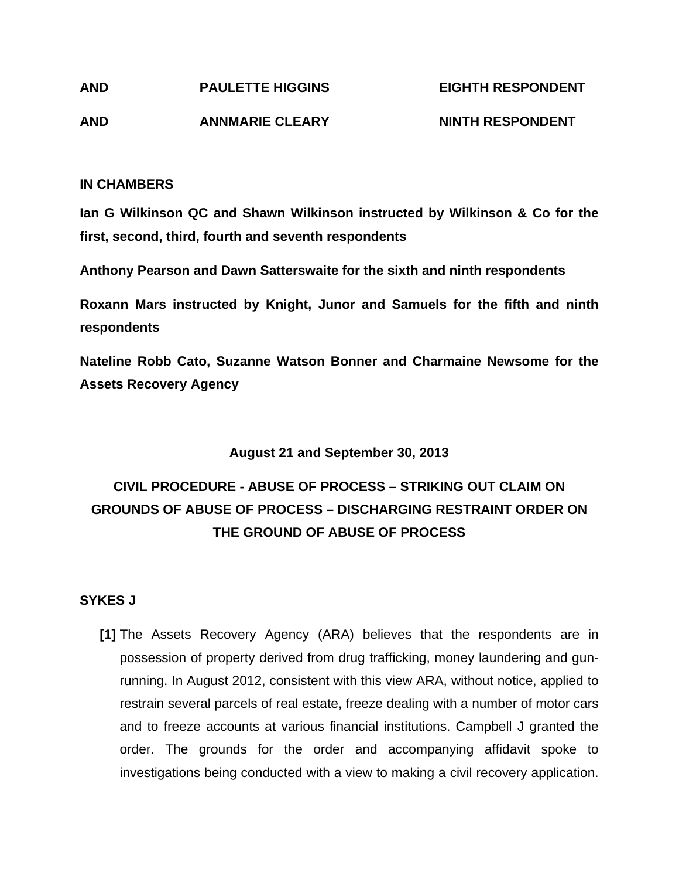| <b>AND</b> | <b>PAULETTE HIGGINS</b> | <b>EIGHTH RESPONDENT</b> |
|------------|-------------------------|--------------------------|
| <b>AND</b> | <b>ANNMARIE CLEARY</b>  | <b>NINTH RESPONDENT</b>  |

### **IN CHAMBERS**

**Ian G Wilkinson QC and Shawn Wilkinson instructed by Wilkinson & Co for the first, second, third, fourth and seventh respondents**

**Anthony Pearson and Dawn Satterswaite for the sixth and ninth respondents**

**Roxann Mars instructed by Knight, Junor and Samuels for the fifth and ninth respondents**

**Nateline Robb Cato, Suzanne Watson Bonner and Charmaine Newsome for the Assets Recovery Agency**

### **August 21 and September 30, 2013**

# **CIVIL PROCEDURE - ABUSE OF PROCESS – STRIKING OUT CLAIM ON GROUNDS OF ABUSE OF PROCESS – DISCHARGING RESTRAINT ORDER ON THE GROUND OF ABUSE OF PROCESS**

### **SYKES J**

**[1]** The Assets Recovery Agency (ARA) believes that the respondents are in possession of property derived from drug trafficking, money laundering and gunrunning. In August 2012, consistent with this view ARA, without notice, applied to restrain several parcels of real estate, freeze dealing with a number of motor cars and to freeze accounts at various financial institutions. Campbell J granted the order. The grounds for the order and accompanying affidavit spoke to investigations being conducted with a view to making a civil recovery application.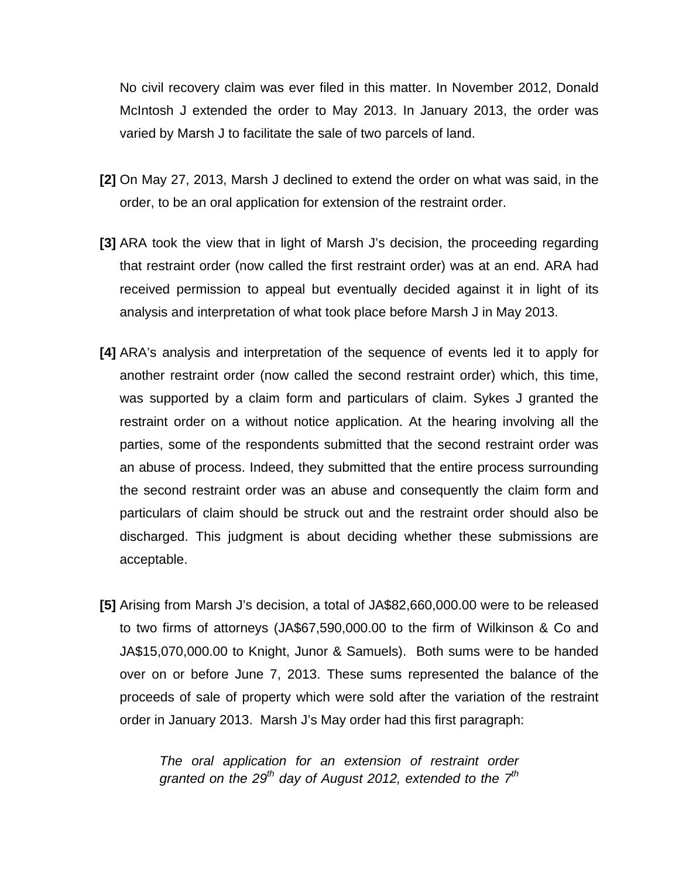No civil recovery claim was ever filed in this matter. In November 2012, Donald McIntosh J extended the order to May 2013. In January 2013, the order was varied by Marsh J to facilitate the sale of two parcels of land.

- **[2]** On May 27, 2013, Marsh J declined to extend the order on what was said, in the order, to be an oral application for extension of the restraint order.
- **[3]** ARA took the view that in light of Marsh J's decision, the proceeding regarding that restraint order (now called the first restraint order) was at an end. ARA had received permission to appeal but eventually decided against it in light of its analysis and interpretation of what took place before Marsh J in May 2013.
- **[4]** ARA's analysis and interpretation of the sequence of events led it to apply for another restraint order (now called the second restraint order) which, this time, was supported by a claim form and particulars of claim. Sykes J granted the restraint order on a without notice application. At the hearing involving all the parties, some of the respondents submitted that the second restraint order was an abuse of process. Indeed, they submitted that the entire process surrounding the second restraint order was an abuse and consequently the claim form and particulars of claim should be struck out and the restraint order should also be discharged. This judgment is about deciding whether these submissions are acceptable.
- **[5]** Arising from Marsh J's decision, a total of JA\$82,660,000.00 were to be released to two firms of attorneys (JA\$67,590,000.00 to the firm of Wilkinson & Co and JA\$15,070,000.00 to Knight, Junor & Samuels). Both sums were to be handed over on or before June 7, 2013. These sums represented the balance of the proceeds of sale of property which were sold after the variation of the restraint order in January 2013. Marsh J's May order had this first paragraph:

*The oral application for an extension of restraint order granted on the 29th day of August 2012, extended to the 7th*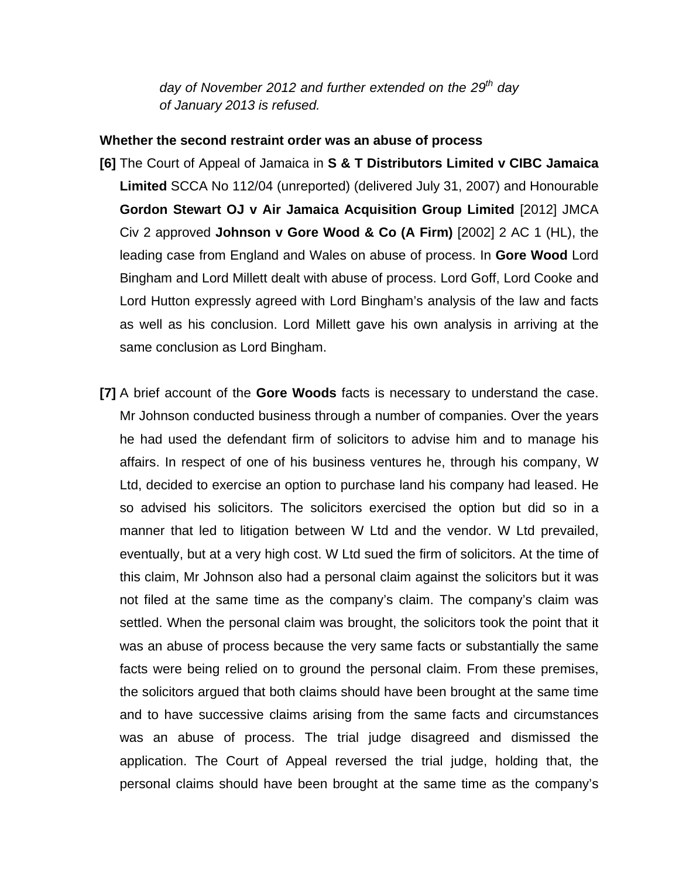*day of November 2012 and further extended on the 29th day of January 2013 is refused.*

### **Whether the second restraint order was an abuse of process**

- **[6]** The Court of Appeal of Jamaica in **S & T Distributors Limited v CIBC Jamaica Limited** SCCA No 112/04 (unreported) (delivered July 31, 2007) and Honourable **Gordon Stewart OJ v Air Jamaica Acquisition Group Limited** [2012] JMCA Civ 2 approved **Johnson v Gore Wood & Co (A Firm)** [2002] 2 AC 1 (HL), the leading case from England and Wales on abuse of process. In **Gore Wood** Lord Bingham and Lord Millett dealt with abuse of process. Lord Goff, Lord Cooke and Lord Hutton expressly agreed with Lord Bingham's analysis of the law and facts as well as his conclusion. Lord Millett gave his own analysis in arriving at the same conclusion as Lord Bingham.
- **[7]** A brief account of the **Gore Woods** facts is necessary to understand the case. Mr Johnson conducted business through a number of companies. Over the years he had used the defendant firm of solicitors to advise him and to manage his affairs. In respect of one of his business ventures he, through his company, W Ltd, decided to exercise an option to purchase land his company had leased. He so advised his solicitors. The solicitors exercised the option but did so in a manner that led to litigation between W Ltd and the vendor. W Ltd prevailed, eventually, but at a very high cost. W Ltd sued the firm of solicitors. At the time of this claim, Mr Johnson also had a personal claim against the solicitors but it was not filed at the same time as the company's claim. The company's claim was settled. When the personal claim was brought, the solicitors took the point that it was an abuse of process because the very same facts or substantially the same facts were being relied on to ground the personal claim. From these premises, the solicitors argued that both claims should have been brought at the same time and to have successive claims arising from the same facts and circumstances was an abuse of process. The trial judge disagreed and dismissed the application. The Court of Appeal reversed the trial judge, holding that, the personal claims should have been brought at the same time as the company's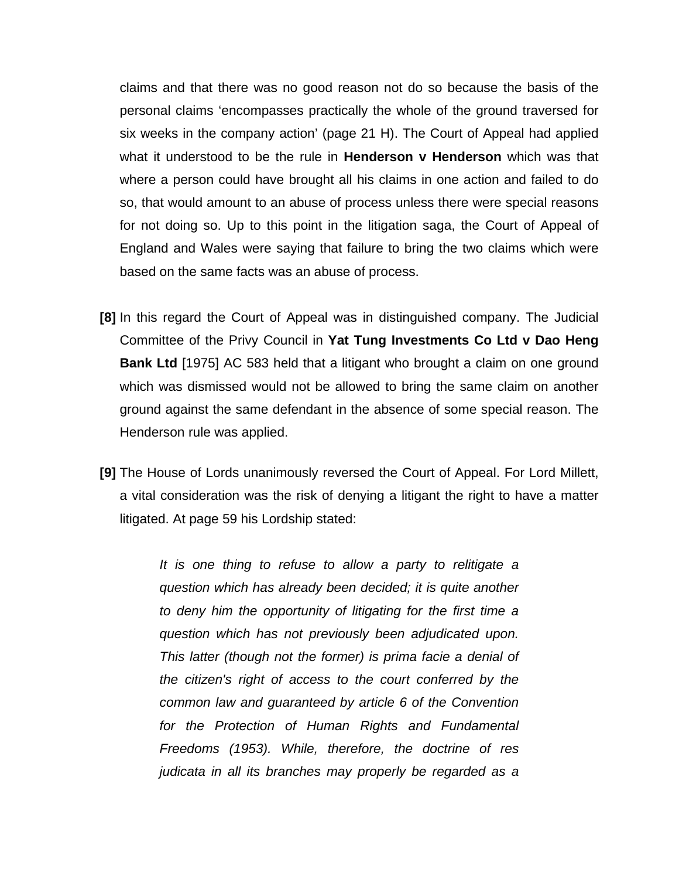claims and that there was no good reason not do so because the basis of the personal claims 'encompasses practically the whole of the ground traversed for six weeks in the company action' (page 21 H). The Court of Appeal had applied what it understood to be the rule in **Henderson v Henderson** which was that where a person could have brought all his claims in one action and failed to do so, that would amount to an abuse of process unless there were special reasons for not doing so. Up to this point in the litigation saga, the Court of Appeal of England and Wales were saying that failure to bring the two claims which were based on the same facts was an abuse of process.

- **[8]** In this regard the Court of Appeal was in distinguished company. The Judicial Committee of the Privy Council in **Yat Tung Investments Co Ltd v Dao Heng Bank Ltd** [1975] AC 583 held that a litigant who brought a claim on one ground which was dismissed would not be allowed to bring the same claim on another ground against the same defendant in the absence of some special reason. The Henderson rule was applied.
- **[9]** The House of Lords unanimously reversed the Court of Appeal. For Lord Millett, a vital consideration was the risk of denying a litigant the right to have a matter litigated. At page 59 his Lordship stated:

*It is one thing to refuse to allow a party to relitigate a question which has already been decided; it is quite another to deny him the opportunity of litigating for the first time a question which has not previously been adjudicated upon. This latter (though not the former) is prima facie a denial of the citizen's right of access to the court conferred by the common law and guaranteed by article 6 of the Convention for the Protection of Human Rights and Fundamental Freedoms (1953). While, therefore, the doctrine of res judicata in all its branches may properly be regarded as a*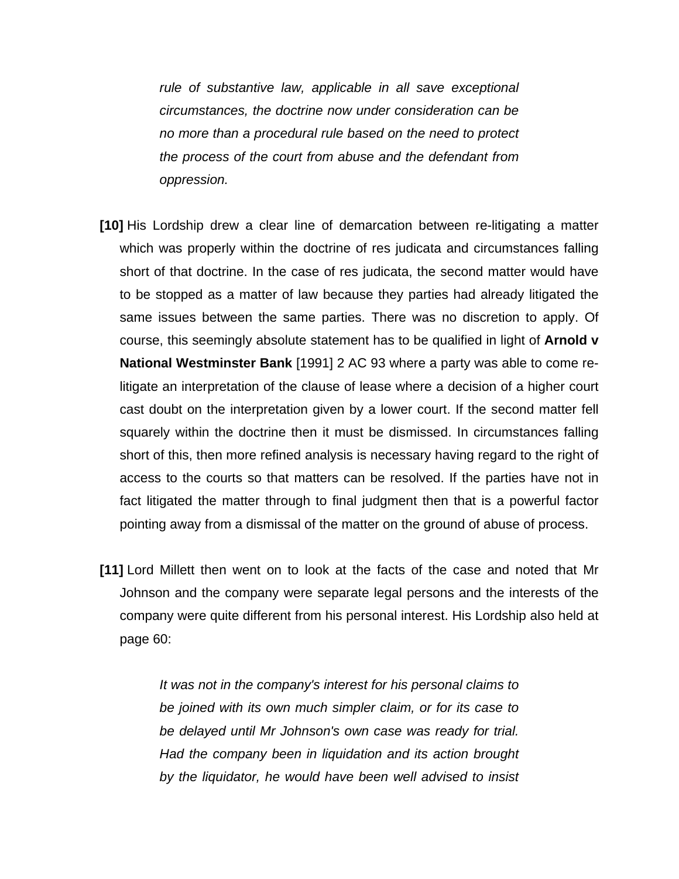*rule of substantive law, applicable in all save exceptional circumstances, the doctrine now under consideration can be no more than a procedural rule based on the need to protect the process of the court from abuse and the defendant from oppression.*

- **[10]** His Lordship drew a clear line of demarcation between re-litigating a matter which was properly within the doctrine of res judicata and circumstances falling short of that doctrine. In the case of res judicata, the second matter would have to be stopped as a matter of law because they parties had already litigated the same issues between the same parties. There was no discretion to apply. Of course, this seemingly absolute statement has to be qualified in light of **Arnold v National Westminster Bank** [1991] 2 AC 93 where a party was able to come relitigate an interpretation of the clause of lease where a decision of a higher court cast doubt on the interpretation given by a lower court. If the second matter fell squarely within the doctrine then it must be dismissed. In circumstances falling short of this, then more refined analysis is necessary having regard to the right of access to the courts so that matters can be resolved. If the parties have not in fact litigated the matter through to final judgment then that is a powerful factor pointing away from a dismissal of the matter on the ground of abuse of process.
- **[11]** Lord Millett then went on to look at the facts of the case and noted that Mr Johnson and the company were separate legal persons and the interests of the company were quite different from his personal interest. His Lordship also held at page 60:

*It was not in the company's interest for his personal claims to be joined with its own much simpler claim, or for its case to be delayed until Mr Johnson's own case was ready for trial. Had the company been in liquidation and its action brought by the liquidator, he would have been well advised to insist*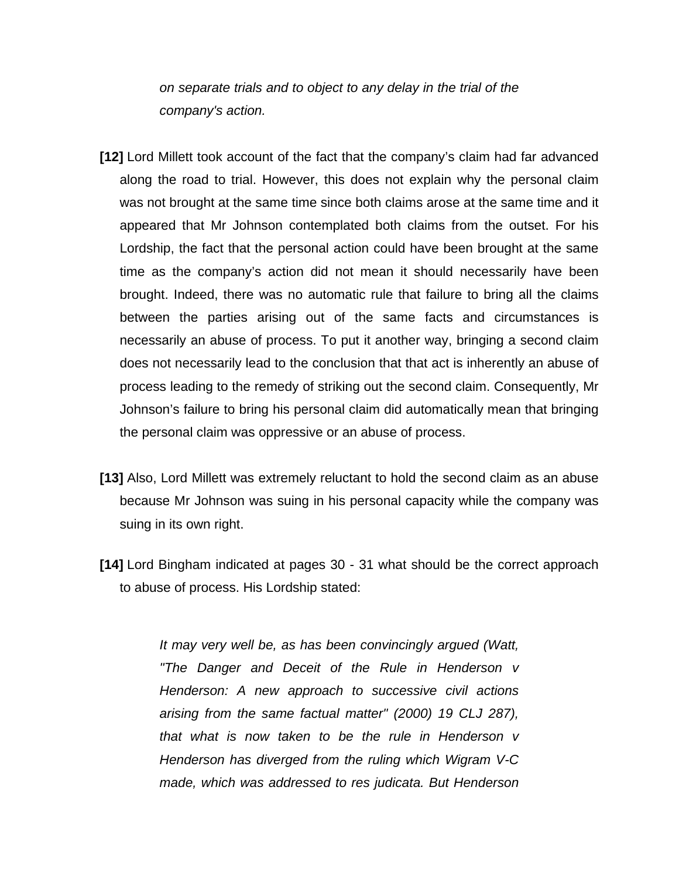*on separate trials and to object to any delay in the trial of the company's action.*

- **[12]** Lord Millett took account of the fact that the company's claim had far advanced along the road to trial. However, this does not explain why the personal claim was not brought at the same time since both claims arose at the same time and it appeared that Mr Johnson contemplated both claims from the outset. For his Lordship, the fact that the personal action could have been brought at the same time as the company's action did not mean it should necessarily have been brought. Indeed, there was no automatic rule that failure to bring all the claims between the parties arising out of the same facts and circumstances is necessarily an abuse of process. To put it another way, bringing a second claim does not necessarily lead to the conclusion that that act is inherently an abuse of process leading to the remedy of striking out the second claim. Consequently, Mr Johnson's failure to bring his personal claim did automatically mean that bringing the personal claim was oppressive or an abuse of process.
- **[13]** Also, Lord Millett was extremely reluctant to hold the second claim as an abuse because Mr Johnson was suing in his personal capacity while the company was suing in its own right.
- **[14]** Lord Bingham indicated at pages 30 31 what should be the correct approach to abuse of process. His Lordship stated:

*It may very well be, as has been convincingly argued (Watt, "The Danger and Deceit of the Rule in Henderson v Henderson: A new approach to successive civil actions arising from the same factual matter" (2000) 19 CLJ 287), that what is now taken to be the rule in Henderson v Henderson has diverged from the ruling which Wigram V-C made, which was addressed to res judicata. But Henderson*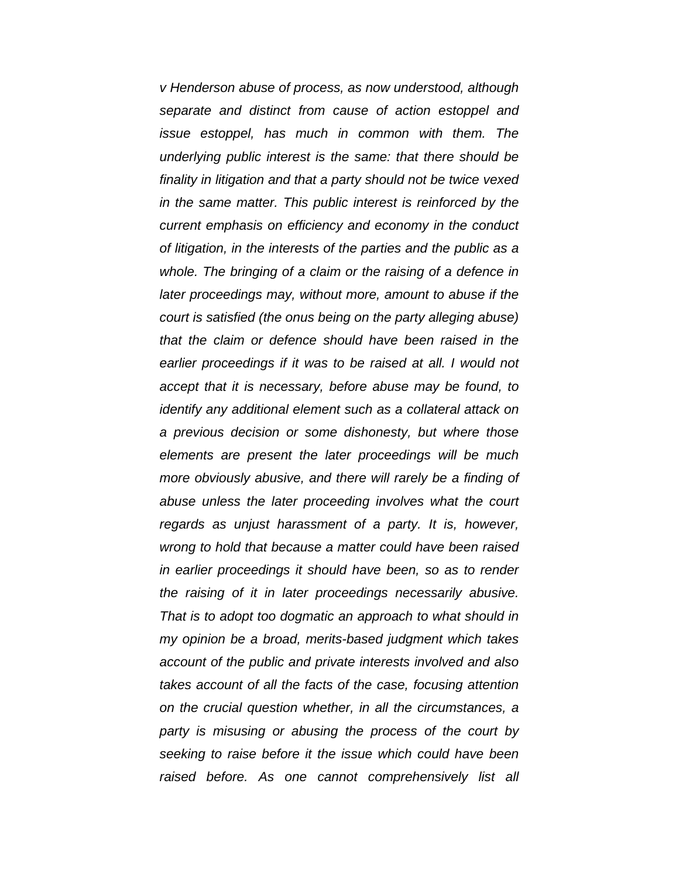*v Henderson abuse of process, as now understood, although separate and distinct from cause of action estoppel and issue estoppel, has much in common with them. The underlying public interest is the same: that there should be finality in litigation and that a party should not be twice vexed in the same matter. This public interest is reinforced by the current emphasis on efficiency and economy in the conduct of litigation, in the interests of the parties and the public as a whole. The bringing of a claim or the raising of a defence in later proceedings may, without more, amount to abuse if the court is satisfied (the onus being on the party alleging abuse) that the claim or defence should have been raised in the earlier proceedings if it was to be raised at all. I would not accept that it is necessary, before abuse may be found, to identify any additional element such as a collateral attack on a previous decision or some dishonesty, but where those elements are present the later proceedings will be much more obviously abusive, and there will rarely be a finding of abuse unless the later proceeding involves what the court regards as unjust harassment of a party. It is, however, wrong to hold that because a matter could have been raised in earlier proceedings it should have been, so as to render the raising of it in later proceedings necessarily abusive. That is to adopt too dogmatic an approach to what should in my opinion be a broad, merits-based judgment which takes account of the public and private interests involved and also takes account of all the facts of the case, focusing attention on the crucial question whether, in all the circumstances, a party is misusing or abusing the process of the court by seeking to raise before it the issue which could have been raised before. As one cannot comprehensively list all*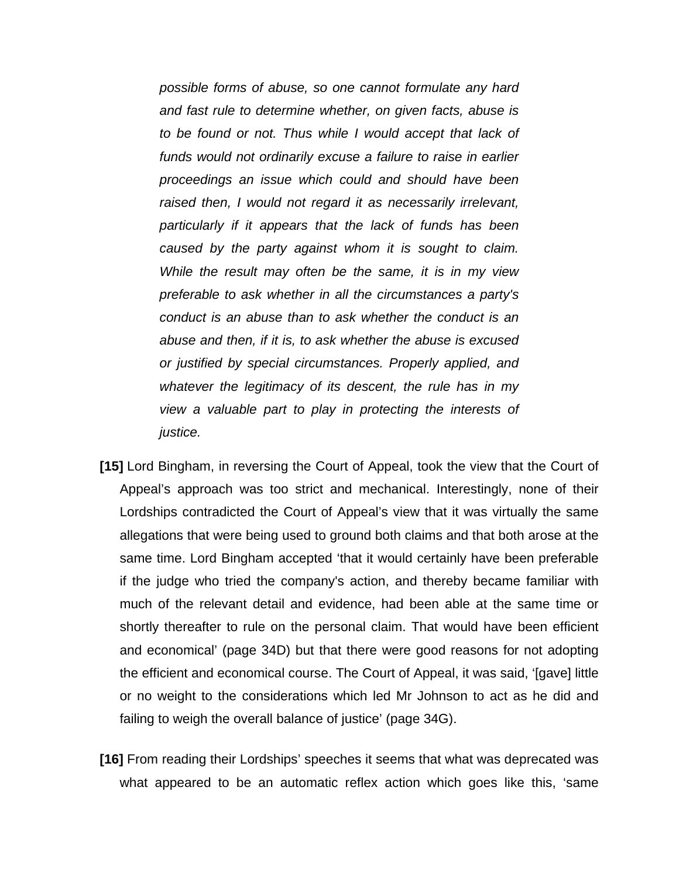*possible forms of abuse, so one cannot formulate any hard and fast rule to determine whether, on given facts, abuse is to be found or not. Thus while I would accept that lack of funds would not ordinarily excuse a failure to raise in earlier proceedings an issue which could and should have been raised then, I would not regard it as necessarily irrelevant, particularly if it appears that the lack of funds has been caused by the party against whom it is sought to claim. While the result may often be the same, it is in my view preferable to ask whether in all the circumstances a party's conduct is an abuse than to ask whether the conduct is an abuse and then, if it is, to ask whether the abuse is excused or justified by special circumstances. Properly applied, and whatever the legitimacy of its descent, the rule has in my view a valuable part to play in protecting the interests of justice.*

- **[15]** Lord Bingham, in reversing the Court of Appeal, took the view that the Court of Appeal's approach was too strict and mechanical. Interestingly, none of their Lordships contradicted the Court of Appeal's view that it was virtually the same allegations that were being used to ground both claims and that both arose at the same time. Lord Bingham accepted 'that it would certainly have been preferable if the judge who tried the company's action, and thereby became familiar with much of the relevant detail and evidence, had been able at the same time or shortly thereafter to rule on the personal claim. That would have been efficient and economical' (page 34D) but that there were good reasons for not adopting the efficient and economical course. The Court of Appeal, it was said, '[gave] little or no weight to the considerations which led Mr Johnson to act as he did and failing to weigh the overall balance of justice' (page 34G).
- **[16]** From reading their Lordships' speeches it seems that what was deprecated was what appeared to be an automatic reflex action which goes like this, 'same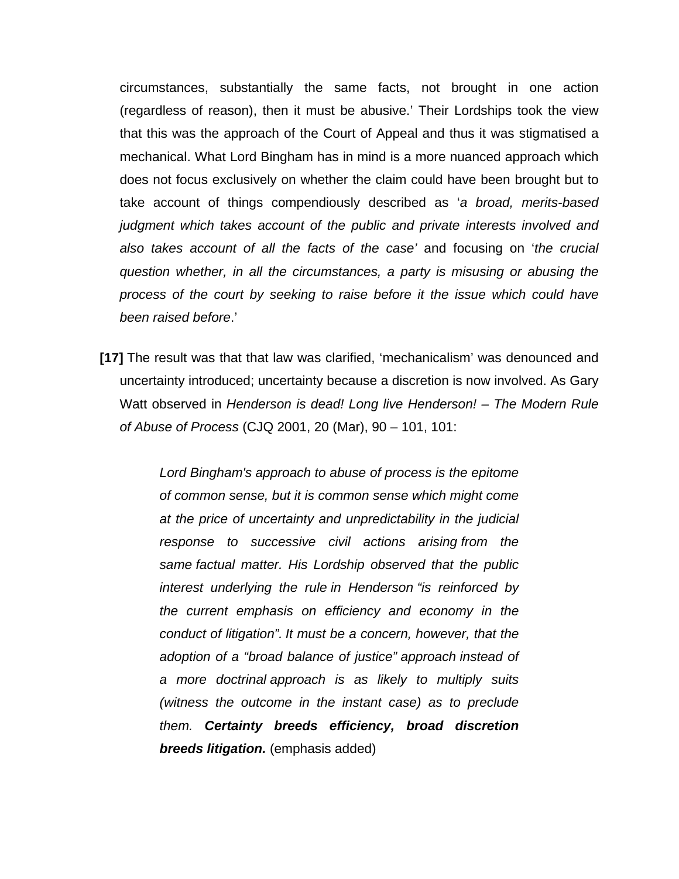circumstances, substantially the same facts, not brought in one action (regardless of reason), then it must be abusive.' Their Lordships took the view that this was the approach of the Court of Appeal and thus it was stigmatised a mechanical. What Lord Bingham has in mind is a more nuanced approach which does not focus exclusively on whether the claim could have been brought but to take account of things compendiously described as '*a broad, merits-based judgment which takes account of the public and private interests involved and also takes account of all the facts of the case'* and focusing on '*the crucial question whether, in all the circumstances, a party is misusing or abusing the process of the court by seeking to raise before it the issue which could have been raised before*.'

**[17]** The result was that that law was clarified, 'mechanicalism' was denounced and uncertainty introduced; uncertainty because a discretion is now involved. As Gary Watt observed in *Henderson is dead! Long live Henderson! – The Modern Rule of Abuse of Process* (CJQ 2001, 20 (Mar), 90 – 101, 101:

> *Lord Bingham's approach to abuse of process is the epitome of common sense, but it is common sense which might come at the price of uncertainty and unpredictability in the judicial response to successive civil actions arising from the same factual matter. His Lordship observed that the public interest underlying the rule in Henderson "is reinforced by the current emphasis on efficiency and economy in the conduct of litigation". It must be a concern, however, that the adoption of a "broad balance of justice" approach instead of a more doctrinal approach is as likely to multiply suits (witness the outcome in the instant case) as to preclude them. Certainty breeds efficiency, broad discretion breeds litigation.* (emphasis added)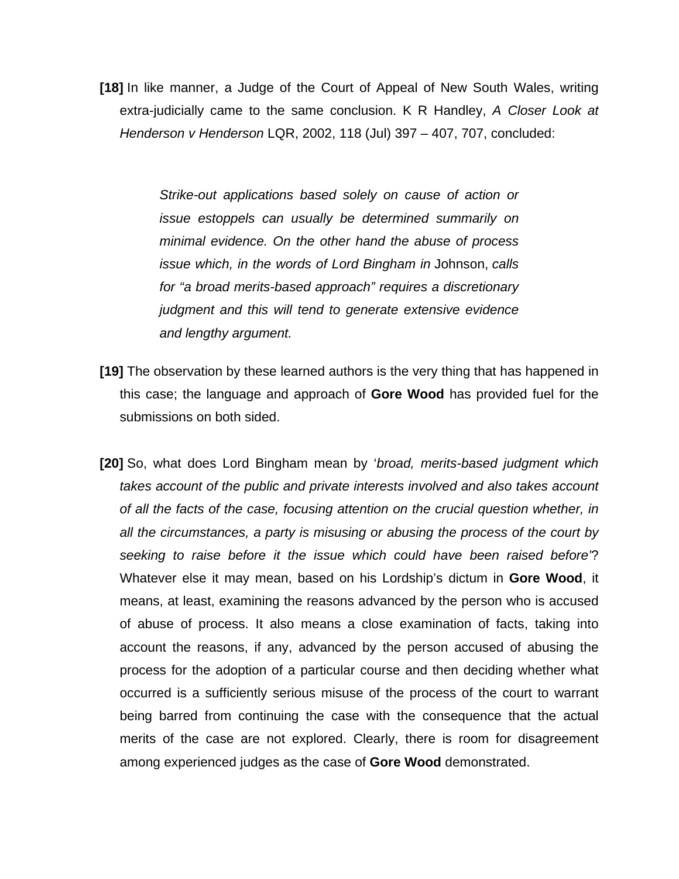**[18]** In like manner, a Judge of the Court of Appeal of New South Wales, writing extra-judicially came to the same conclusion. K R Handley, *A Closer Look at Henderson v Henderson* LQR, 2002, 118 (Jul) 397 – 407, 707, concluded:

> *Strike-out applications based solely on cause of action or issue estoppels can usually be determined summarily on minimal evidence. On the other hand the abuse of process issue which, in the words of Lord Bingham in* Johnson, *calls for "a broad merits-based approach" requires a discretionary judgment and this will tend to generate extensive evidence and lengthy argument.*

- **[19]** The observation by these learned authors is the very thing that has happened in this case; the language and approach of **Gore Wood** has provided fuel for the submissions on both sided.
- **[20]** So, what does Lord Bingham mean by '*broad, merits-based judgment which takes account of the public and private interests involved and also takes account of all the facts of the case, focusing attention on the crucial question whether, in all the circumstances, a party is misusing or abusing the process of the court by seeking to raise before it the issue which could have been raised before'*? Whatever else it may mean, based on his Lordship's dictum in **Gore Wood**, it means, at least, examining the reasons advanced by the person who is accused of abuse of process. It also means a close examination of facts, taking into account the reasons, if any, advanced by the person accused of abusing the process for the adoption of a particular course and then deciding whether what occurred is a sufficiently serious misuse of the process of the court to warrant being barred from continuing the case with the consequence that the actual merits of the case are not explored. Clearly, there is room for disagreement among experienced judges as the case of **Gore Wood** demonstrated.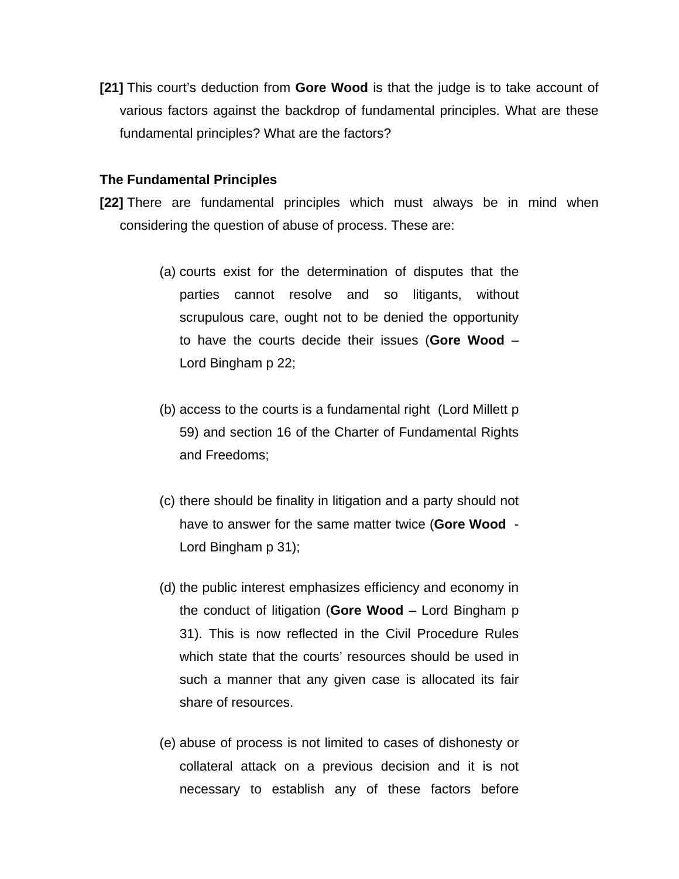**[21]** This court's deduction from **Gore Wood** is that the judge is to take account of various factors against the backdrop of fundamental principles. What are these fundamental principles? What are the factors?

### **The Fundamental Principles**

- **[22]** There are fundamental principles which must always be in mind when considering the question of abuse of process. These are:
	- (a) courts exist for the determination of disputes that the parties cannot resolve and so litigants, without scrupulous care, ought not to be denied the opportunity to have the courts decide their issues (**Gore Wood** – Lord Bingham p 22;
	- (b) access to the courts is a fundamental right (Lord Millett p 59) and section 16 of the Charter of Fundamental Rights and Freedoms;
	- (c) there should be finality in litigation and a party should not have to answer for the same matter twice (**Gore Wood** - Lord Bingham p 31);
	- (d) the public interest emphasizes efficiency and economy in the conduct of litigation (**Gore Wood** – Lord Bingham p 31). This is now reflected in the Civil Procedure Rules which state that the courts' resources should be used in such a manner that any given case is allocated its fair share of resources.
	- (e) abuse of process is not limited to cases of dishonesty or collateral attack on a previous decision and it is not necessary to establish any of these factors before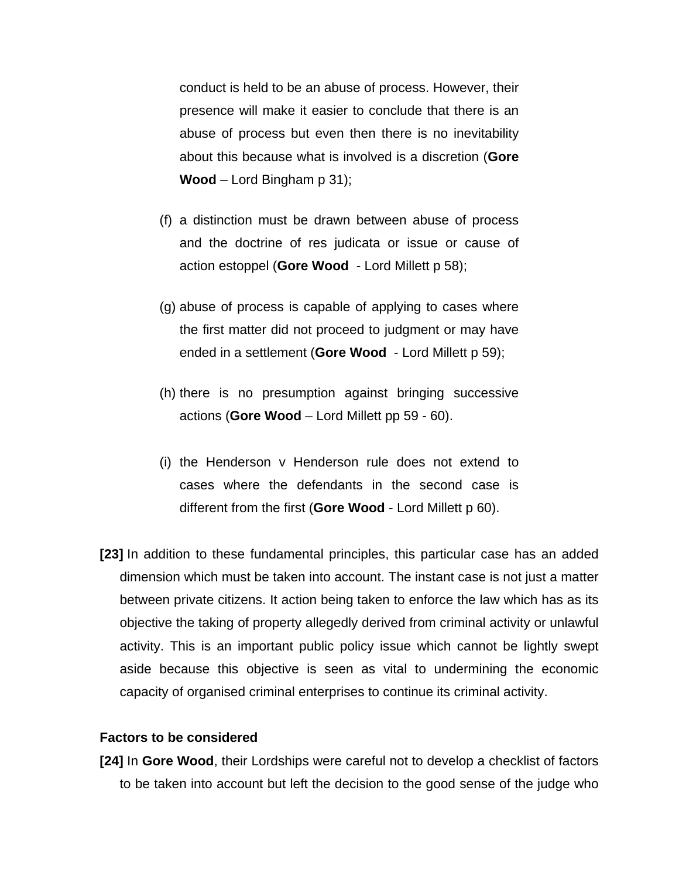conduct is held to be an abuse of process. However, their presence will make it easier to conclude that there is an abuse of process but even then there is no inevitability about this because what is involved is a discretion (**Gore Wood** – Lord Bingham p 31);

- (f) a distinction must be drawn between abuse of process and the doctrine of res judicata or issue or cause of action estoppel (**Gore Wood** - Lord Millett p 58);
- (g) abuse of process is capable of applying to cases where the first matter did not proceed to judgment or may have ended in a settlement (**Gore Wood** - Lord Millett p 59);
- (h) there is no presumption against bringing successive actions (**Gore Wood** – Lord Millett pp 59 - 60).
- (i) the Henderson v Henderson rule does not extend to cases where the defendants in the second case is different from the first (**Gore Wood** - Lord Millett p 60).
- **[23]** In addition to these fundamental principles, this particular case has an added dimension which must be taken into account. The instant case is not just a matter between private citizens. It action being taken to enforce the law which has as its objective the taking of property allegedly derived from criminal activity or unlawful activity. This is an important public policy issue which cannot be lightly swept aside because this objective is seen as vital to undermining the economic capacity of organised criminal enterprises to continue its criminal activity.

#### **Factors to be considered**

**[24]** In **Gore Wood**, their Lordships were careful not to develop a checklist of factors to be taken into account but left the decision to the good sense of the judge who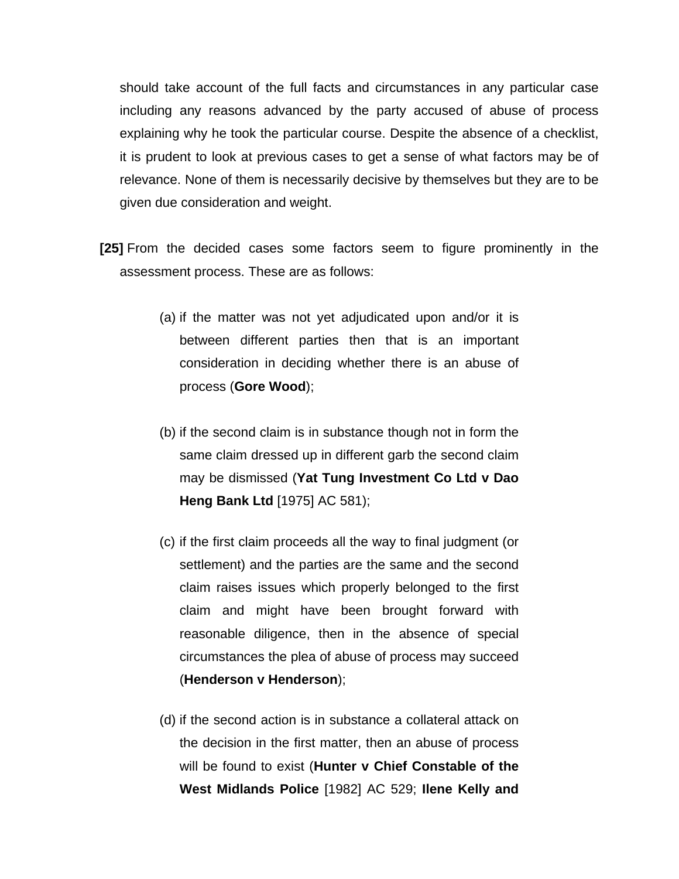should take account of the full facts and circumstances in any particular case including any reasons advanced by the party accused of abuse of process explaining why he took the particular course. Despite the absence of a checklist, it is prudent to look at previous cases to get a sense of what factors may be of relevance. None of them is necessarily decisive by themselves but they are to be given due consideration and weight.

- **[25]** From the decided cases some factors seem to figure prominently in the assessment process. These are as follows:
	- (a) if the matter was not yet adjudicated upon and/or it is between different parties then that is an important consideration in deciding whether there is an abuse of process (**Gore Wood**);
	- (b) if the second claim is in substance though not in form the same claim dressed up in different garb the second claim may be dismissed (**Yat Tung Investment Co Ltd v Dao Heng Bank Ltd** [1975] AC 581);
	- (c) if the first claim proceeds all the way to final judgment (or settlement) and the parties are the same and the second claim raises issues which properly belonged to the first claim and might have been brought forward with reasonable diligence, then in the absence of special circumstances the plea of abuse of process may succeed (**Henderson v Henderson**);
	- (d) if the second action is in substance a collateral attack on the decision in the first matter, then an abuse of process will be found to exist (**Hunter v Chief Constable of the West Midlands Police** [1982] AC 529; **Ilene Kelly and**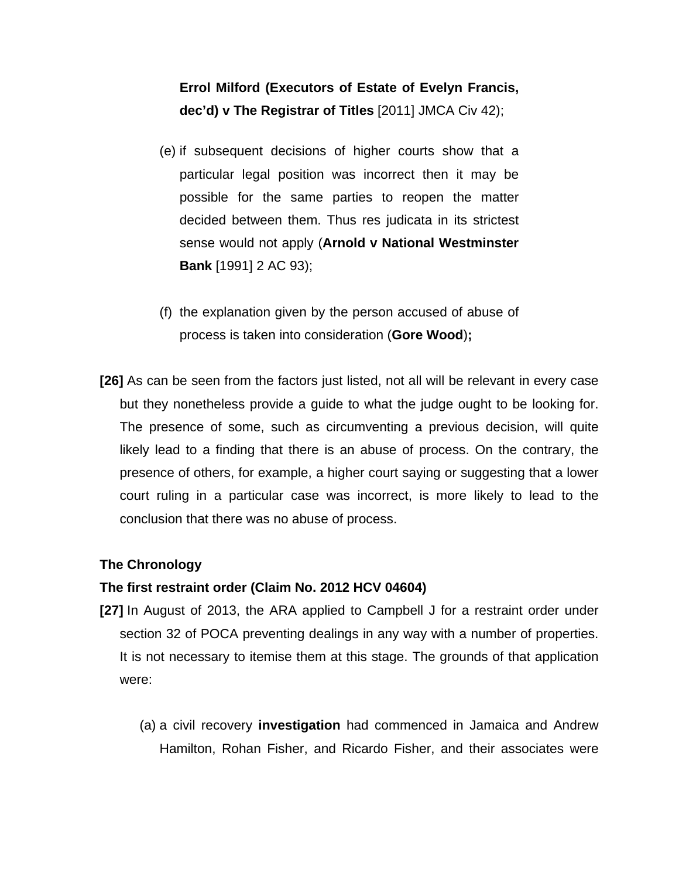## **Errol Milford (Executors of Estate of Evelyn Francis, dec'd) v The Registrar of Titles** [2011] JMCA Civ 42);

- (e) if subsequent decisions of higher courts show that a particular legal position was incorrect then it may be possible for the same parties to reopen the matter decided between them. Thus res judicata in its strictest sense would not apply (**Arnold v National Westminster Bank** [1991] 2 AC 93);
- (f) the explanation given by the person accused of abuse of process is taken into consideration (**Gore Wood**)**;**
- **[26]** As can be seen from the factors just listed, not all will be relevant in every case but they nonetheless provide a guide to what the judge ought to be looking for. The presence of some, such as circumventing a previous decision, will quite likely lead to a finding that there is an abuse of process. On the contrary, the presence of others, for example, a higher court saying or suggesting that a lower court ruling in a particular case was incorrect, is more likely to lead to the conclusion that there was no abuse of process.

### **The Chronology**

### **The first restraint order (Claim No. 2012 HCV 04604)**

- **[27]** In August of 2013, the ARA applied to Campbell J for a restraint order under section 32 of POCA preventing dealings in any way with a number of properties. It is not necessary to itemise them at this stage. The grounds of that application were:
	- (a) a civil recovery **investigation** had commenced in Jamaica and Andrew Hamilton, Rohan Fisher, and Ricardo Fisher, and their associates were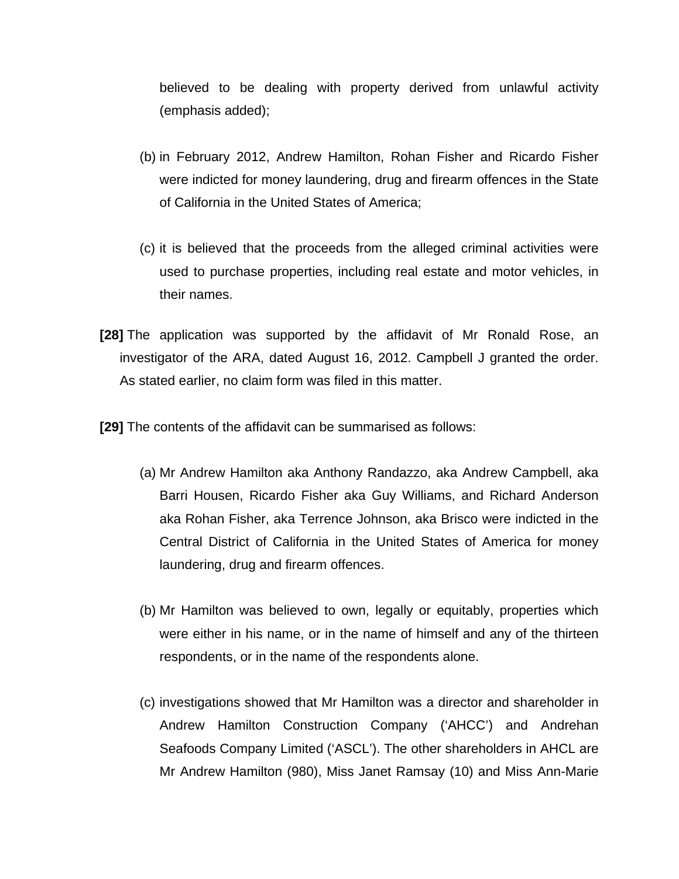believed to be dealing with property derived from unlawful activity (emphasis added);

- (b) in February 2012, Andrew Hamilton, Rohan Fisher and Ricardo Fisher were indicted for money laundering, drug and firearm offences in the State of California in the United States of America;
- (c) it is believed that the proceeds from the alleged criminal activities were used to purchase properties, including real estate and motor vehicles, in their names.
- **[28]** The application was supported by the affidavit of Mr Ronald Rose, an investigator of the ARA, dated August 16, 2012. Campbell J granted the order. As stated earlier, no claim form was filed in this matter.
- **[29]** The contents of the affidavit can be summarised as follows:
	- (a) Mr Andrew Hamilton aka Anthony Randazzo, aka Andrew Campbell, aka Barri Housen, Ricardo Fisher aka Guy Williams, and Richard Anderson aka Rohan Fisher, aka Terrence Johnson, aka Brisco were indicted in the Central District of California in the United States of America for money laundering, drug and firearm offences.
	- (b) Mr Hamilton was believed to own, legally or equitably, properties which were either in his name, or in the name of himself and any of the thirteen respondents, or in the name of the respondents alone.
	- (c) investigations showed that Mr Hamilton was a director and shareholder in Andrew Hamilton Construction Company ('AHCC') and Andrehan Seafoods Company Limited ('ASCL'). The other shareholders in AHCL are Mr Andrew Hamilton (980), Miss Janet Ramsay (10) and Miss Ann-Marie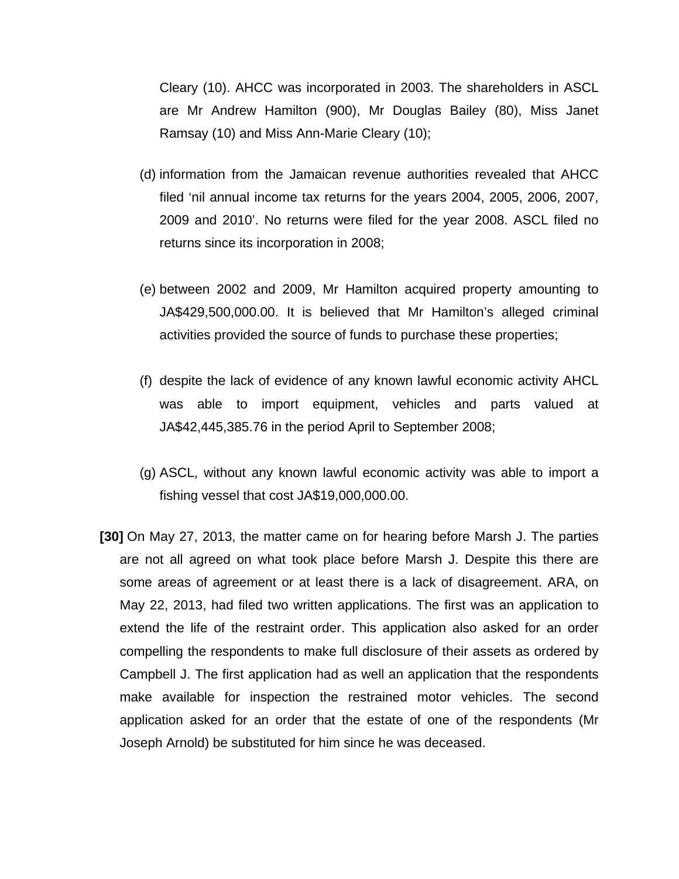Cleary (10). AHCC was incorporated in 2003. The shareholders in ASCL are Mr Andrew Hamilton (900), Mr Douglas Bailey (80), Miss Janet Ramsay (10) and Miss Ann-Marie Cleary (10);

- (d) information from the Jamaican revenue authorities revealed that AHCC filed 'nil annual income tax returns for the years 2004, 2005, 2006, 2007, 2009 and 2010'. No returns were filed for the year 2008. ASCL filed no returns since its incorporation in 2008;
- (e) between 2002 and 2009, Mr Hamilton acquired property amounting to JA\$429,500,000.00. It is believed that Mr Hamilton's alleged criminal activities provided the source of funds to purchase these properties;
- (f) despite the lack of evidence of any known lawful economic activity AHCL was able to import equipment, vehicles and parts valued at JA\$42,445,385.76 in the period April to September 2008;
- (g) ASCL, without any known lawful economic activity was able to import a fishing vessel that cost JA\$19,000,000.00.
- **[30]** On May 27, 2013, the matter came on for hearing before Marsh J. The parties are not all agreed on what took place before Marsh J. Despite this there are some areas of agreement or at least there is a lack of disagreement. ARA, on May 22, 2013, had filed two written applications. The first was an application to extend the life of the restraint order. This application also asked for an order compelling the respondents to make full disclosure of their assets as ordered by Campbell J. The first application had as well an application that the respondents make available for inspection the restrained motor vehicles. The second application asked for an order that the estate of one of the respondents (Mr Joseph Arnold) be substituted for him since he was deceased.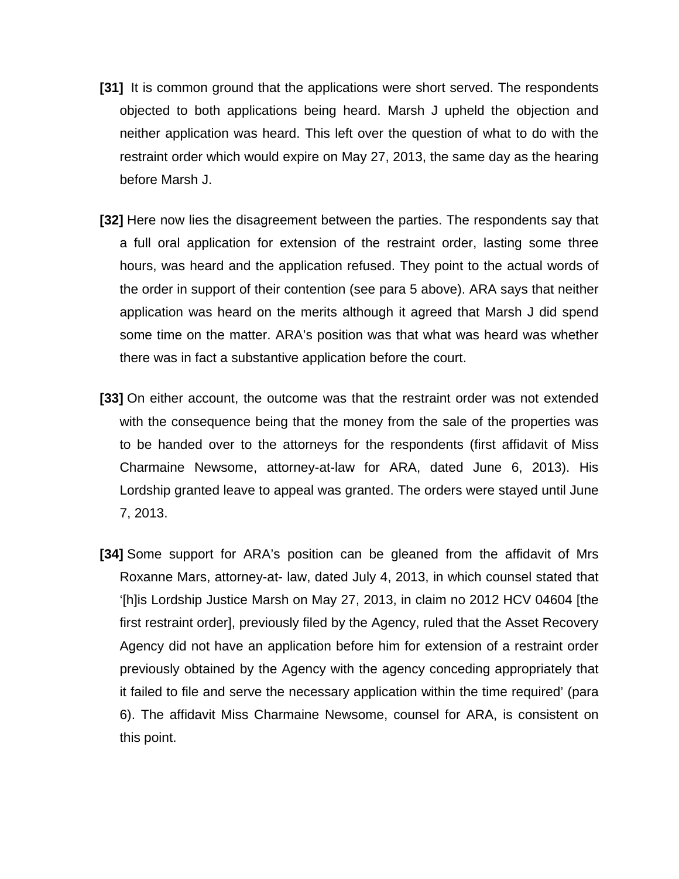- **[31]** It is common ground that the applications were short served. The respondents objected to both applications being heard. Marsh J upheld the objection and neither application was heard. This left over the question of what to do with the restraint order which would expire on May 27, 2013, the same day as the hearing before Marsh J.
- **[32]** Here now lies the disagreement between the parties. The respondents say that a full oral application for extension of the restraint order, lasting some three hours, was heard and the application refused. They point to the actual words of the order in support of their contention (see para 5 above). ARA says that neither application was heard on the merits although it agreed that Marsh J did spend some time on the matter. ARA's position was that what was heard was whether there was in fact a substantive application before the court.
- **[33]** On either account, the outcome was that the restraint order was not extended with the consequence being that the money from the sale of the properties was to be handed over to the attorneys for the respondents (first affidavit of Miss Charmaine Newsome, attorney-at-law for ARA, dated June 6, 2013). His Lordship granted leave to appeal was granted. The orders were stayed until June 7, 2013.
- **[34]** Some support for ARA's position can be gleaned from the affidavit of Mrs Roxanne Mars, attorney-at- law, dated July 4, 2013, in which counsel stated that '[h]is Lordship Justice Marsh on May 27, 2013, in claim no 2012 HCV 04604 [the first restraint order], previously filed by the Agency, ruled that the Asset Recovery Agency did not have an application before him for extension of a restraint order previously obtained by the Agency with the agency conceding appropriately that it failed to file and serve the necessary application within the time required' (para 6). The affidavit Miss Charmaine Newsome, counsel for ARA, is consistent on this point.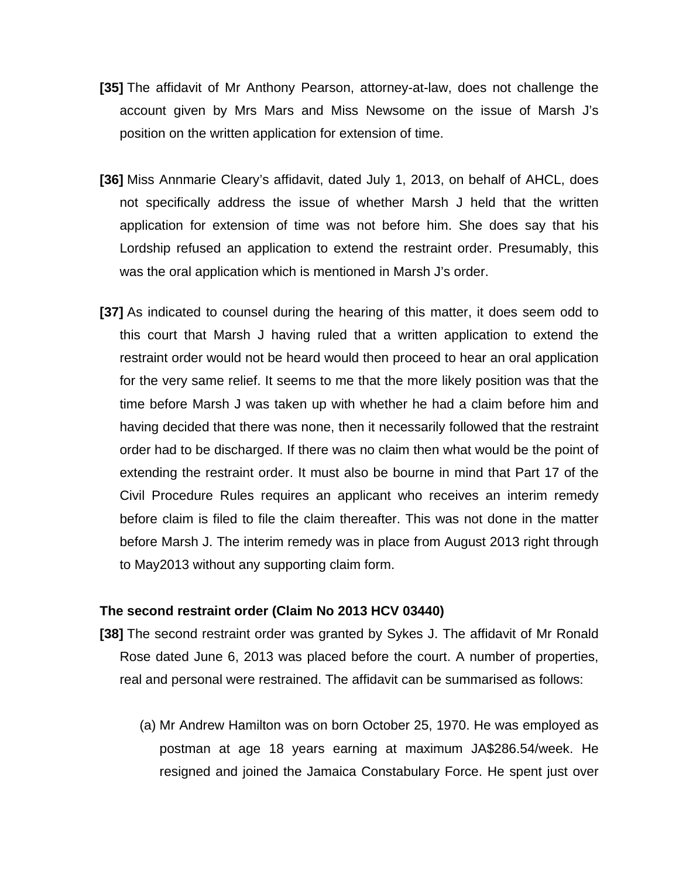- **[35]** The affidavit of Mr Anthony Pearson, attorney-at-law, does not challenge the account given by Mrs Mars and Miss Newsome on the issue of Marsh J's position on the written application for extension of time.
- **[36]** Miss Annmarie Cleary's affidavit, dated July 1, 2013, on behalf of AHCL, does not specifically address the issue of whether Marsh J held that the written application for extension of time was not before him. She does say that his Lordship refused an application to extend the restraint order. Presumably, this was the oral application which is mentioned in Marsh J's order.
- **[37]** As indicated to counsel during the hearing of this matter, it does seem odd to this court that Marsh J having ruled that a written application to extend the restraint order would not be heard would then proceed to hear an oral application for the very same relief. It seems to me that the more likely position was that the time before Marsh J was taken up with whether he had a claim before him and having decided that there was none, then it necessarily followed that the restraint order had to be discharged. If there was no claim then what would be the point of extending the restraint order. It must also be bourne in mind that Part 17 of the Civil Procedure Rules requires an applicant who receives an interim remedy before claim is filed to file the claim thereafter. This was not done in the matter before Marsh J. The interim remedy was in place from August 2013 right through to May2013 without any supporting claim form.

### **The second restraint order (Claim No 2013 HCV 03440)**

- **[38]** The second restraint order was granted by Sykes J. The affidavit of Mr Ronald Rose dated June 6, 2013 was placed before the court. A number of properties, real and personal were restrained. The affidavit can be summarised as follows:
	- (a) Mr Andrew Hamilton was on born October 25, 1970. He was employed as postman at age 18 years earning at maximum JA\$286.54/week. He resigned and joined the Jamaica Constabulary Force. He spent just over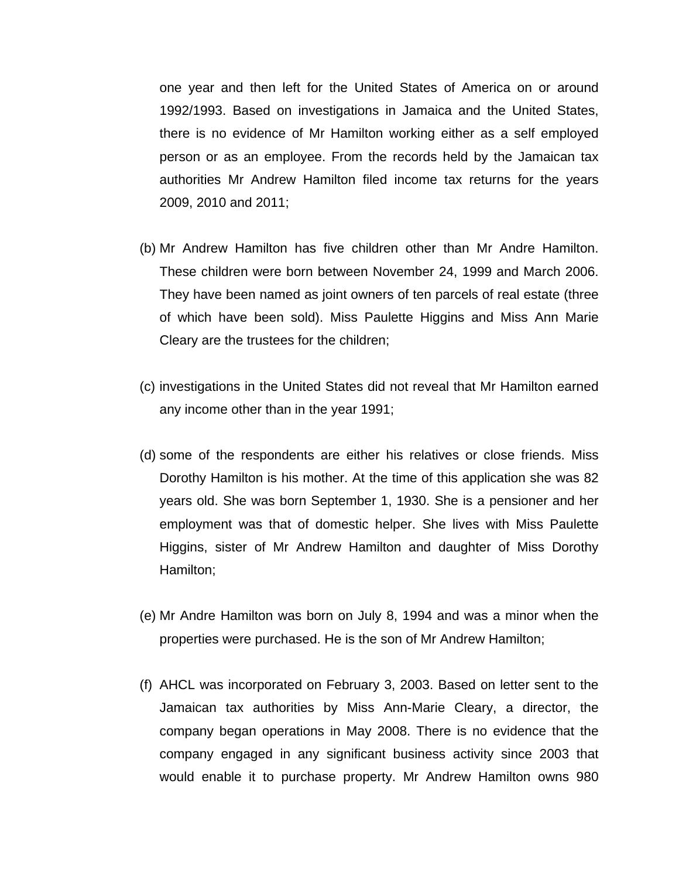one year and then left for the United States of America on or around 1992/1993. Based on investigations in Jamaica and the United States, there is no evidence of Mr Hamilton working either as a self employed person or as an employee. From the records held by the Jamaican tax authorities Mr Andrew Hamilton filed income tax returns for the years 2009, 2010 and 2011;

- (b) Mr Andrew Hamilton has five children other than Mr Andre Hamilton. These children were born between November 24, 1999 and March 2006. They have been named as joint owners of ten parcels of real estate (three of which have been sold). Miss Paulette Higgins and Miss Ann Marie Cleary are the trustees for the children;
- (c) investigations in the United States did not reveal that Mr Hamilton earned any income other than in the year 1991;
- (d) some of the respondents are either his relatives or close friends. Miss Dorothy Hamilton is his mother. At the time of this application she was 82 years old. She was born September 1, 1930. She is a pensioner and her employment was that of domestic helper. She lives with Miss Paulette Higgins, sister of Mr Andrew Hamilton and daughter of Miss Dorothy Hamilton;
- (e) Mr Andre Hamilton was born on July 8, 1994 and was a minor when the properties were purchased. He is the son of Mr Andrew Hamilton;
- (f) AHCL was incorporated on February 3, 2003. Based on letter sent to the Jamaican tax authorities by Miss Ann-Marie Cleary, a director, the company began operations in May 2008. There is no evidence that the company engaged in any significant business activity since 2003 that would enable it to purchase property. Mr Andrew Hamilton owns 980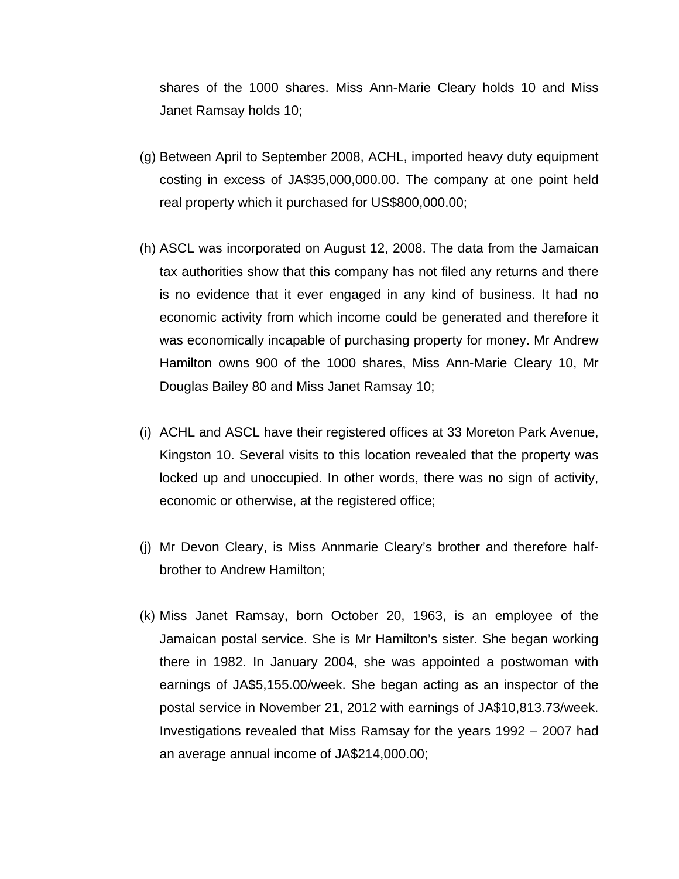shares of the 1000 shares. Miss Ann-Marie Cleary holds 10 and Miss Janet Ramsay holds 10;

- (g) Between April to September 2008, ACHL, imported heavy duty equipment costing in excess of JA\$35,000,000.00. The company at one point held real property which it purchased for US\$800,000.00;
- (h) ASCL was incorporated on August 12, 2008. The data from the Jamaican tax authorities show that this company has not filed any returns and there is no evidence that it ever engaged in any kind of business. It had no economic activity from which income could be generated and therefore it was economically incapable of purchasing property for money. Mr Andrew Hamilton owns 900 of the 1000 shares, Miss Ann-Marie Cleary 10, Mr Douglas Bailey 80 and Miss Janet Ramsay 10;
- (i) ACHL and ASCL have their registered offices at 33 Moreton Park Avenue, Kingston 10. Several visits to this location revealed that the property was locked up and unoccupied. In other words, there was no sign of activity, economic or otherwise, at the registered office;
- (j) Mr Devon Cleary, is Miss Annmarie Cleary's brother and therefore halfbrother to Andrew Hamilton;
- (k) Miss Janet Ramsay, born October 20, 1963, is an employee of the Jamaican postal service. She is Mr Hamilton's sister. She began working there in 1982. In January 2004, she was appointed a postwoman with earnings of JA\$5,155.00/week. She began acting as an inspector of the postal service in November 21, 2012 with earnings of JA\$10,813.73/week. Investigations revealed that Miss Ramsay for the years 1992 – 2007 had an average annual income of JA\$214,000.00;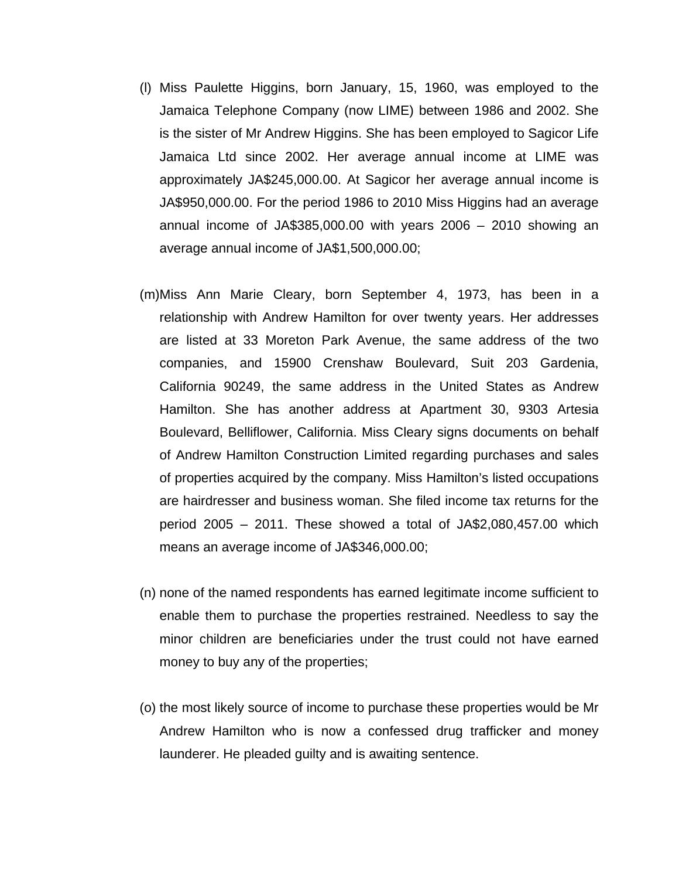- (l) Miss Paulette Higgins, born January, 15, 1960, was employed to the Jamaica Telephone Company (now LIME) between 1986 and 2002. She is the sister of Mr Andrew Higgins. She has been employed to Sagicor Life Jamaica Ltd since 2002. Her average annual income at LIME was approximately JA\$245,000.00. At Sagicor her average annual income is JA\$950,000.00. For the period 1986 to 2010 Miss Higgins had an average annual income of JA\$385,000.00 with years 2006 – 2010 showing an average annual income of JA\$1,500,000.00;
- (m)Miss Ann Marie Cleary, born September 4, 1973, has been in a relationship with Andrew Hamilton for over twenty years. Her addresses are listed at 33 Moreton Park Avenue, the same address of the two companies, and 15900 Crenshaw Boulevard, Suit 203 Gardenia, California 90249, the same address in the United States as Andrew Hamilton. She has another address at Apartment 30, 9303 Artesia Boulevard, Belliflower, California. Miss Cleary signs documents on behalf of Andrew Hamilton Construction Limited regarding purchases and sales of properties acquired by the company. Miss Hamilton's listed occupations are hairdresser and business woman. She filed income tax returns for the period 2005 – 2011. These showed a total of JA\$2,080,457.00 which means an average income of JA\$346,000.00;
- (n) none of the named respondents has earned legitimate income sufficient to enable them to purchase the properties restrained. Needless to say the minor children are beneficiaries under the trust could not have earned money to buy any of the properties;
- (o) the most likely source of income to purchase these properties would be Mr Andrew Hamilton who is now a confessed drug trafficker and money launderer. He pleaded guilty and is awaiting sentence.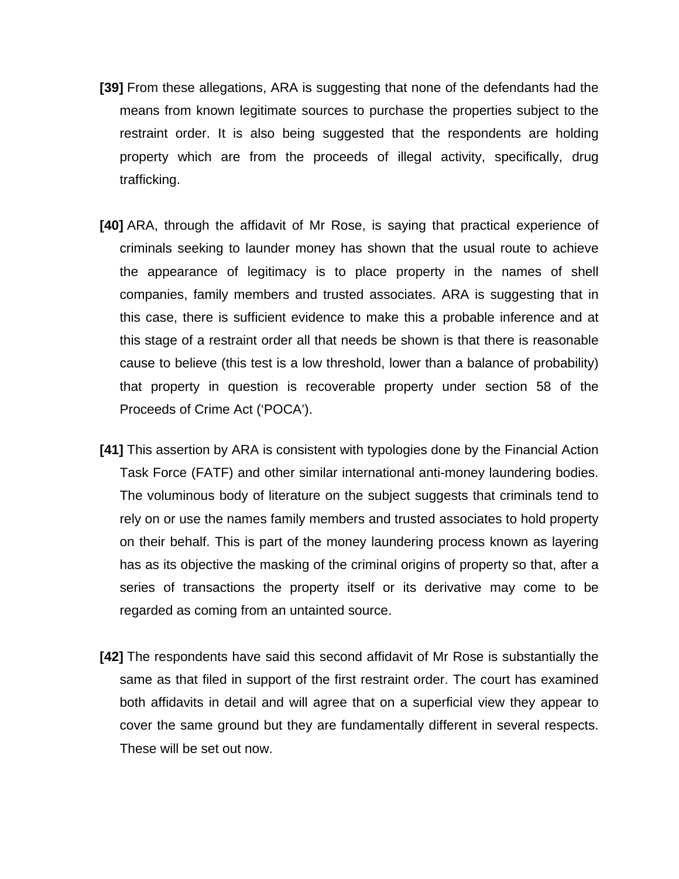- **[39]** From these allegations, ARA is suggesting that none of the defendants had the means from known legitimate sources to purchase the properties subject to the restraint order. It is also being suggested that the respondents are holding property which are from the proceeds of illegal activity, specifically, drug trafficking.
- **[40]** ARA, through the affidavit of Mr Rose, is saying that practical experience of criminals seeking to launder money has shown that the usual route to achieve the appearance of legitimacy is to place property in the names of shell companies, family members and trusted associates. ARA is suggesting that in this case, there is sufficient evidence to make this a probable inference and at this stage of a restraint order all that needs be shown is that there is reasonable cause to believe (this test is a low threshold, lower than a balance of probability) that property in question is recoverable property under section 58 of the Proceeds of Crime Act ('POCA').
- **[41]** This assertion by ARA is consistent with typologies done by the Financial Action Task Force (FATF) and other similar international anti-money laundering bodies. The voluminous body of literature on the subject suggests that criminals tend to rely on or use the names family members and trusted associates to hold property on their behalf. This is part of the money laundering process known as layering has as its objective the masking of the criminal origins of property so that, after a series of transactions the property itself or its derivative may come to be regarded as coming from an untainted source.
- **[42]** The respondents have said this second affidavit of Mr Rose is substantially the same as that filed in support of the first restraint order. The court has examined both affidavits in detail and will agree that on a superficial view they appear to cover the same ground but they are fundamentally different in several respects. These will be set out now.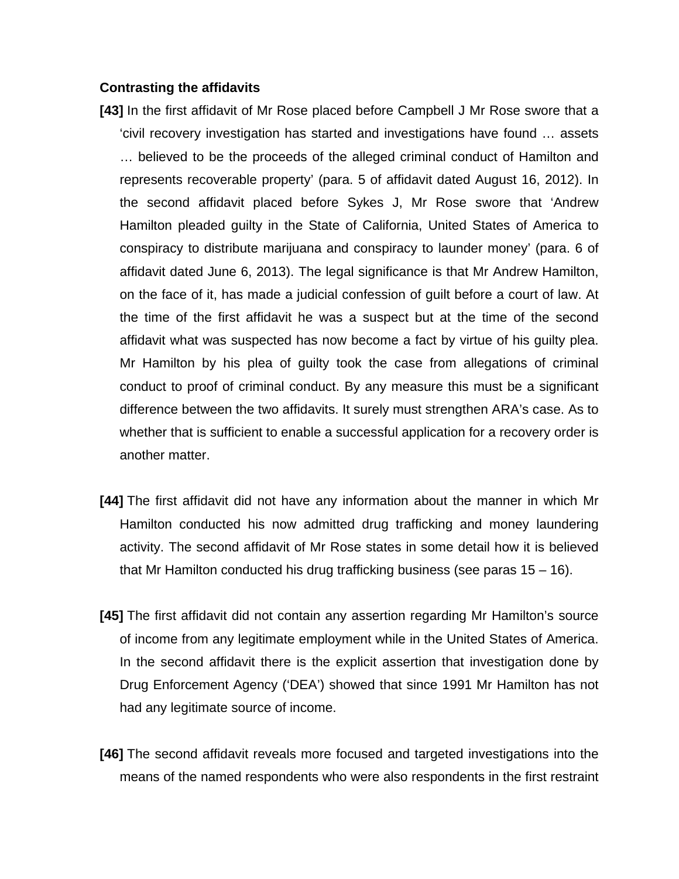### **Contrasting the affidavits**

- **[43]** In the first affidavit of Mr Rose placed before Campbell J Mr Rose swore that a 'civil recovery investigation has started and investigations have found … assets … believed to be the proceeds of the alleged criminal conduct of Hamilton and represents recoverable property' (para. 5 of affidavit dated August 16, 2012). In the second affidavit placed before Sykes J, Mr Rose swore that 'Andrew Hamilton pleaded guilty in the State of California, United States of America to conspiracy to distribute marijuana and conspiracy to launder money' (para. 6 of affidavit dated June 6, 2013). The legal significance is that Mr Andrew Hamilton, on the face of it, has made a judicial confession of guilt before a court of law. At the time of the first affidavit he was a suspect but at the time of the second affidavit what was suspected has now become a fact by virtue of his guilty plea. Mr Hamilton by his plea of guilty took the case from allegations of criminal conduct to proof of criminal conduct. By any measure this must be a significant difference between the two affidavits. It surely must strengthen ARA's case. As to whether that is sufficient to enable a successful application for a recovery order is another matter.
- **[44]** The first affidavit did not have any information about the manner in which Mr Hamilton conducted his now admitted drug trafficking and money laundering activity. The second affidavit of Mr Rose states in some detail how it is believed that Mr Hamilton conducted his drug trafficking business (see paras 15 – 16).
- **[45]** The first affidavit did not contain any assertion regarding Mr Hamilton's source of income from any legitimate employment while in the United States of America. In the second affidavit there is the explicit assertion that investigation done by Drug Enforcement Agency ('DEA') showed that since 1991 Mr Hamilton has not had any legitimate source of income.
- **[46]** The second affidavit reveals more focused and targeted investigations into the means of the named respondents who were also respondents in the first restraint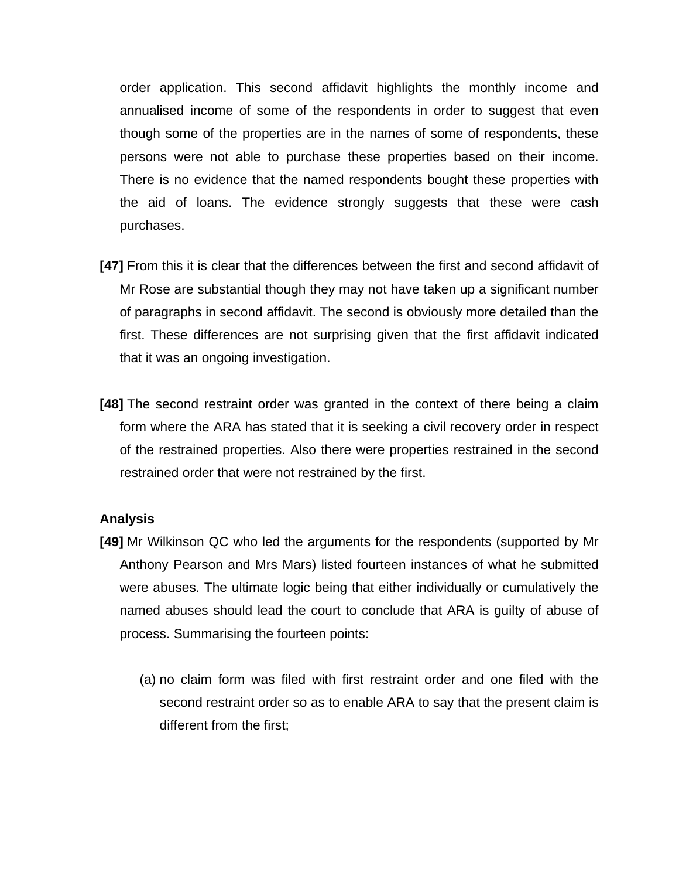order application. This second affidavit highlights the monthly income and annualised income of some of the respondents in order to suggest that even though some of the properties are in the names of some of respondents, these persons were not able to purchase these properties based on their income. There is no evidence that the named respondents bought these properties with the aid of loans. The evidence strongly suggests that these were cash purchases.

- **[47]** From this it is clear that the differences between the first and second affidavit of Mr Rose are substantial though they may not have taken up a significant number of paragraphs in second affidavit. The second is obviously more detailed than the first. These differences are not surprising given that the first affidavit indicated that it was an ongoing investigation.
- **[48]** The second restraint order was granted in the context of there being a claim form where the ARA has stated that it is seeking a civil recovery order in respect of the restrained properties. Also there were properties restrained in the second restrained order that were not restrained by the first.

### **Analysis**

- **[49]** Mr Wilkinson QC who led the arguments for the respondents (supported by Mr Anthony Pearson and Mrs Mars) listed fourteen instances of what he submitted were abuses. The ultimate logic being that either individually or cumulatively the named abuses should lead the court to conclude that ARA is guilty of abuse of process. Summarising the fourteen points:
	- (a) no claim form was filed with first restraint order and one filed with the second restraint order so as to enable ARA to say that the present claim is different from the first;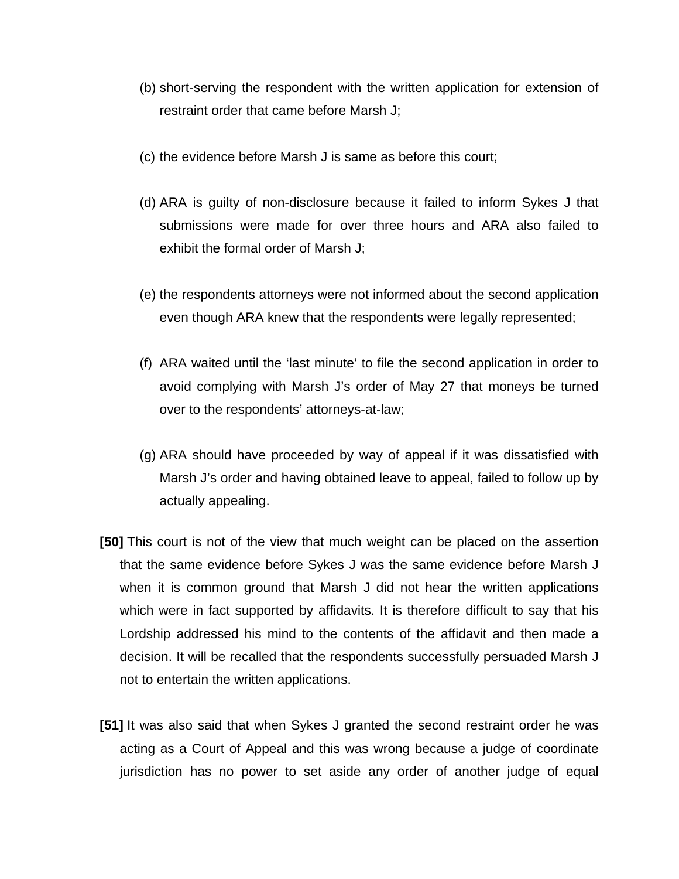- (b) short-serving the respondent with the written application for extension of restraint order that came before Marsh J;
- (c) the evidence before Marsh J is same as before this court;
- (d) ARA is guilty of non-disclosure because it failed to inform Sykes J that submissions were made for over three hours and ARA also failed to exhibit the formal order of Marsh J;
- (e) the respondents attorneys were not informed about the second application even though ARA knew that the respondents were legally represented;
- (f) ARA waited until the 'last minute' to file the second application in order to avoid complying with Marsh J's order of May 27 that moneys be turned over to the respondents' attorneys-at-law;
- (g) ARA should have proceeded by way of appeal if it was dissatisfied with Marsh J's order and having obtained leave to appeal, failed to follow up by actually appealing.
- **[50]** This court is not of the view that much weight can be placed on the assertion that the same evidence before Sykes J was the same evidence before Marsh J when it is common ground that Marsh J did not hear the written applications which were in fact supported by affidavits. It is therefore difficult to say that his Lordship addressed his mind to the contents of the affidavit and then made a decision. It will be recalled that the respondents successfully persuaded Marsh J not to entertain the written applications.
- **[51]** It was also said that when Sykes J granted the second restraint order he was acting as a Court of Appeal and this was wrong because a judge of coordinate jurisdiction has no power to set aside any order of another judge of equal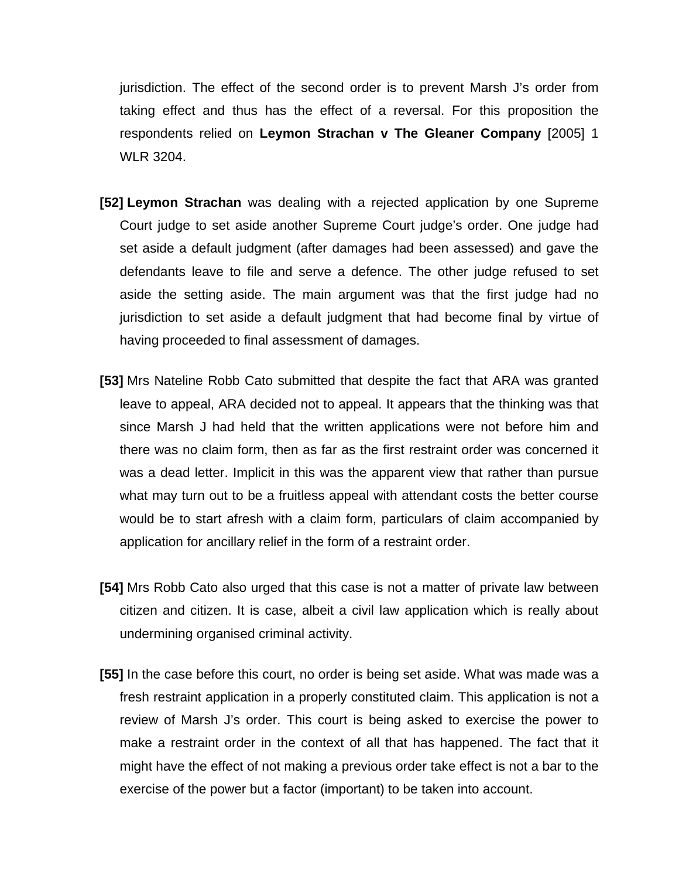jurisdiction. The effect of the second order is to prevent Marsh J's order from taking effect and thus has the effect of a reversal. For this proposition the respondents relied on **Leymon Strachan v The Gleaner Company** [2005] 1 WLR 3204.

- **[52] Leymon Strachan** was dealing with a rejected application by one Supreme Court judge to set aside another Supreme Court judge's order. One judge had set aside a default judgment (after damages had been assessed) and gave the defendants leave to file and serve a defence. The other judge refused to set aside the setting aside. The main argument was that the first judge had no jurisdiction to set aside a default judgment that had become final by virtue of having proceeded to final assessment of damages.
- **[53]** Mrs Nateline Robb Cato submitted that despite the fact that ARA was granted leave to appeal, ARA decided not to appeal. It appears that the thinking was that since Marsh J had held that the written applications were not before him and there was no claim form, then as far as the first restraint order was concerned it was a dead letter. Implicit in this was the apparent view that rather than pursue what may turn out to be a fruitless appeal with attendant costs the better course would be to start afresh with a claim form, particulars of claim accompanied by application for ancillary relief in the form of a restraint order.
- **[54]** Mrs Robb Cato also urged that this case is not a matter of private law between citizen and citizen. It is case, albeit a civil law application which is really about undermining organised criminal activity.
- **[55]** In the case before this court, no order is being set aside. What was made was a fresh restraint application in a properly constituted claim. This application is not a review of Marsh J's order. This court is being asked to exercise the power to make a restraint order in the context of all that has happened. The fact that it might have the effect of not making a previous order take effect is not a bar to the exercise of the power but a factor (important) to be taken into account.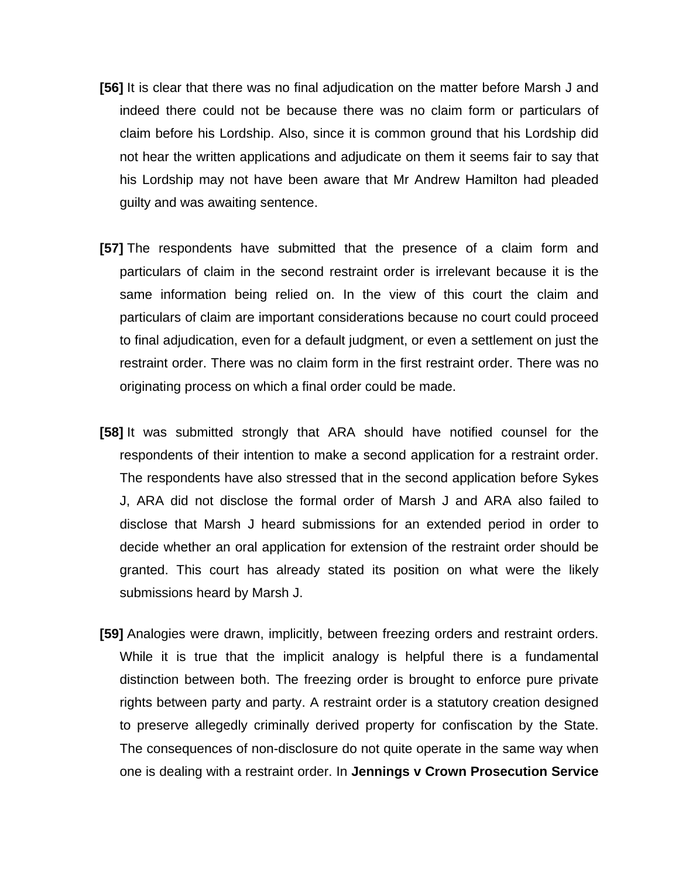- **[56]** It is clear that there was no final adjudication on the matter before Marsh J and indeed there could not be because there was no claim form or particulars of claim before his Lordship. Also, since it is common ground that his Lordship did not hear the written applications and adjudicate on them it seems fair to say that his Lordship may not have been aware that Mr Andrew Hamilton had pleaded guilty and was awaiting sentence.
- **[57]** The respondents have submitted that the presence of a claim form and particulars of claim in the second restraint order is irrelevant because it is the same information being relied on. In the view of this court the claim and particulars of claim are important considerations because no court could proceed to final adjudication, even for a default judgment, or even a settlement on just the restraint order. There was no claim form in the first restraint order. There was no originating process on which a final order could be made.
- **[58]** It was submitted strongly that ARA should have notified counsel for the respondents of their intention to make a second application for a restraint order. The respondents have also stressed that in the second application before Sykes J, ARA did not disclose the formal order of Marsh J and ARA also failed to disclose that Marsh J heard submissions for an extended period in order to decide whether an oral application for extension of the restraint order should be granted. This court has already stated its position on what were the likely submissions heard by Marsh J.
- **[59]** Analogies were drawn, implicitly, between freezing orders and restraint orders. While it is true that the implicit analogy is helpful there is a fundamental distinction between both. The freezing order is brought to enforce pure private rights between party and party. A restraint order is a statutory creation designed to preserve allegedly criminally derived property for confiscation by the State. The consequences of non-disclosure do not quite operate in the same way when one is dealing with a restraint order. In **Jennings v Crown Prosecution Service**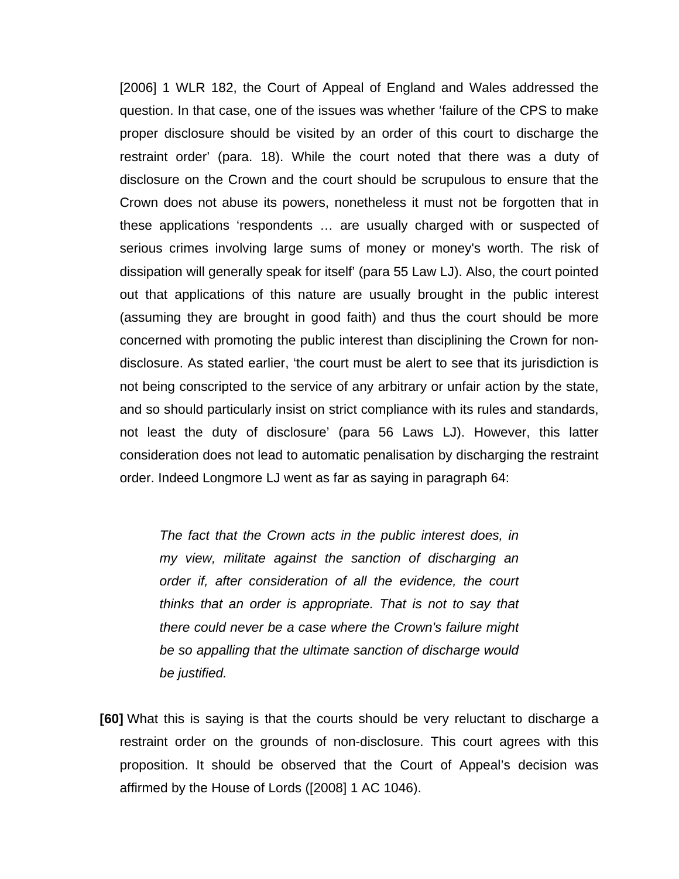[2006] 1 WLR 182, the Court of Appeal of England and Wales addressed the question. In that case, one of the issues was whether 'failure of the CPS to make proper disclosure should be visited by an order of this court to discharge the restraint order' (para. 18). While the court noted that there was a duty of disclosure on the Crown and the court should be scrupulous to ensure that the Crown does not abuse its powers, nonetheless it must not be forgotten that in these applications 'respondents … are usually charged with or suspected of serious crimes involving large sums of money or money's worth. The risk of dissipation will generally speak for itself' (para 55 Law LJ). Also, the court pointed out that applications of this nature are usually brought in the public interest (assuming they are brought in good faith) and thus the court should be more concerned with promoting the public interest than disciplining the Crown for nondisclosure. As stated earlier, 'the court must be alert to see that its jurisdiction is not being conscripted to the service of any arbitrary or unfair action by the state, and so should particularly insist on strict compliance with its rules and standards, not least the duty of disclosure' (para 56 Laws LJ). However, this latter consideration does not lead to automatic penalisation by discharging the restraint order. Indeed Longmore LJ went as far as saying in paragraph 64:

*The fact that the Crown acts in the public interest does, in my view, militate against the sanction of discharging an order if, after consideration of all the evidence, the court thinks that an order is appropriate. That is not to say that there could never be a case where the Crown's failure might be so appalling that the ultimate sanction of discharge would be justified.*

**[60]** What this is saying is that the courts should be very reluctant to discharge a restraint order on the grounds of non-disclosure. This court agrees with this proposition. It should be observed that the Court of Appeal's decision was affirmed by the House of Lords ([2008] 1 AC 1046).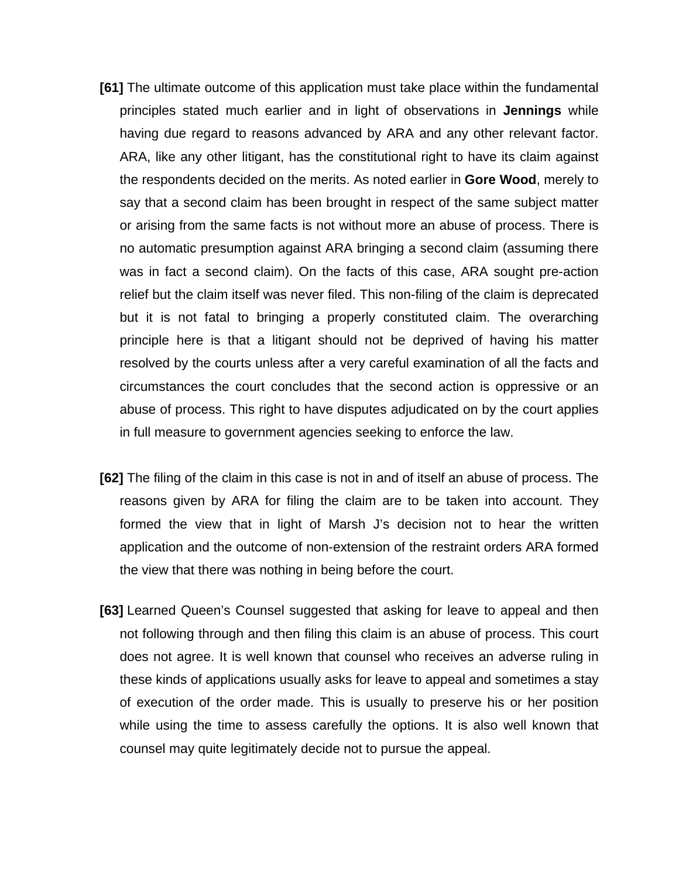- **[61]** The ultimate outcome of this application must take place within the fundamental principles stated much earlier and in light of observations in **Jennings** while having due regard to reasons advanced by ARA and any other relevant factor. ARA, like any other litigant, has the constitutional right to have its claim against the respondents decided on the merits. As noted earlier in **Gore Wood**, merely to say that a second claim has been brought in respect of the same subject matter or arising from the same facts is not without more an abuse of process. There is no automatic presumption against ARA bringing a second claim (assuming there was in fact a second claim). On the facts of this case, ARA sought pre-action relief but the claim itself was never filed. This non-filing of the claim is deprecated but it is not fatal to bringing a properly constituted claim. The overarching principle here is that a litigant should not be deprived of having his matter resolved by the courts unless after a very careful examination of all the facts and circumstances the court concludes that the second action is oppressive or an abuse of process. This right to have disputes adjudicated on by the court applies in full measure to government agencies seeking to enforce the law.
- **[62]** The filing of the claim in this case is not in and of itself an abuse of process. The reasons given by ARA for filing the claim are to be taken into account. They formed the view that in light of Marsh J's decision not to hear the written application and the outcome of non-extension of the restraint orders ARA formed the view that there was nothing in being before the court.
- **[63]** Learned Queen's Counsel suggested that asking for leave to appeal and then not following through and then filing this claim is an abuse of process. This court does not agree. It is well known that counsel who receives an adverse ruling in these kinds of applications usually asks for leave to appeal and sometimes a stay of execution of the order made. This is usually to preserve his or her position while using the time to assess carefully the options. It is also well known that counsel may quite legitimately decide not to pursue the appeal.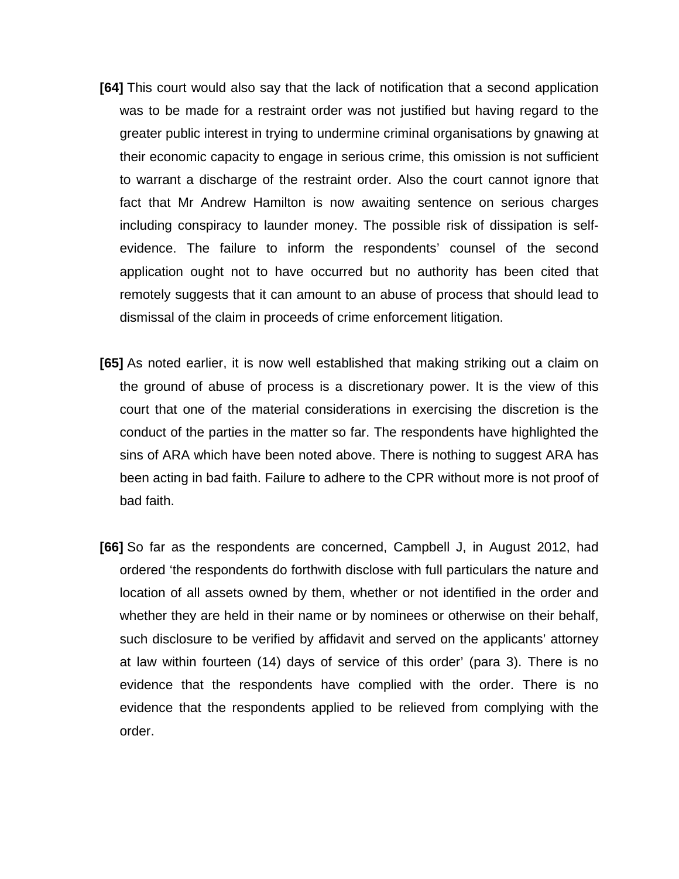- **[64]** This court would also say that the lack of notification that a second application was to be made for a restraint order was not justified but having regard to the greater public interest in trying to undermine criminal organisations by gnawing at their economic capacity to engage in serious crime, this omission is not sufficient to warrant a discharge of the restraint order. Also the court cannot ignore that fact that Mr Andrew Hamilton is now awaiting sentence on serious charges including conspiracy to launder money. The possible risk of dissipation is selfevidence. The failure to inform the respondents' counsel of the second application ought not to have occurred but no authority has been cited that remotely suggests that it can amount to an abuse of process that should lead to dismissal of the claim in proceeds of crime enforcement litigation.
- **[65]** As noted earlier, it is now well established that making striking out a claim on the ground of abuse of process is a discretionary power. It is the view of this court that one of the material considerations in exercising the discretion is the conduct of the parties in the matter so far. The respondents have highlighted the sins of ARA which have been noted above. There is nothing to suggest ARA has been acting in bad faith. Failure to adhere to the CPR without more is not proof of bad faith.
- **[66]** So far as the respondents are concerned, Campbell J, in August 2012, had ordered 'the respondents do forthwith disclose with full particulars the nature and location of all assets owned by them, whether or not identified in the order and whether they are held in their name or by nominees or otherwise on their behalf, such disclosure to be verified by affidavit and served on the applicants' attorney at law within fourteen (14) days of service of this order' (para 3). There is no evidence that the respondents have complied with the order. There is no evidence that the respondents applied to be relieved from complying with the order.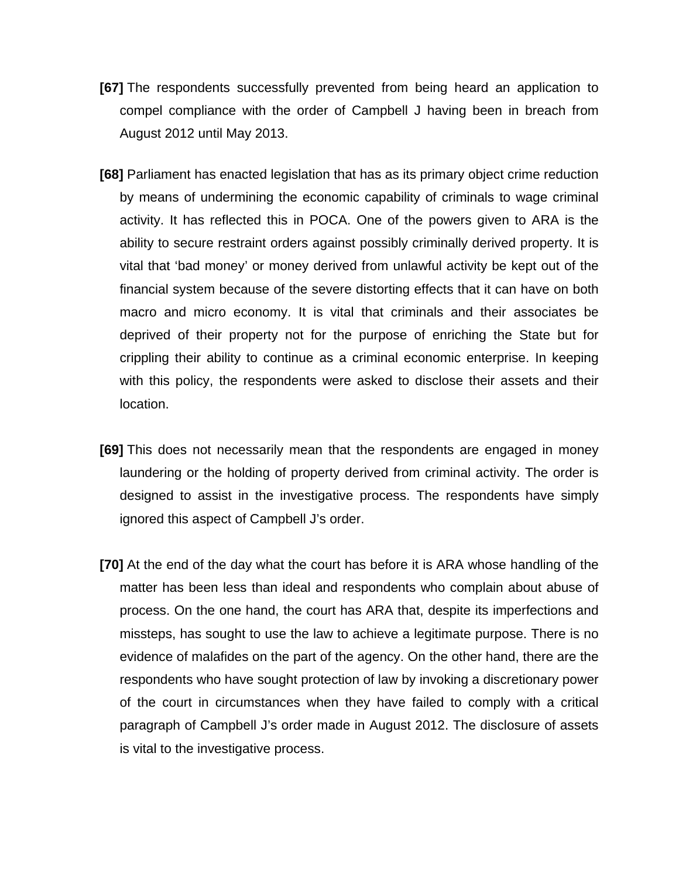- **[67]** The respondents successfully prevented from being heard an application to compel compliance with the order of Campbell J having been in breach from August 2012 until May 2013.
- **[68]** Parliament has enacted legislation that has as its primary object crime reduction by means of undermining the economic capability of criminals to wage criminal activity. It has reflected this in POCA. One of the powers given to ARA is the ability to secure restraint orders against possibly criminally derived property. It is vital that 'bad money' or money derived from unlawful activity be kept out of the financial system because of the severe distorting effects that it can have on both macro and micro economy. It is vital that criminals and their associates be deprived of their property not for the purpose of enriching the State but for crippling their ability to continue as a criminal economic enterprise. In keeping with this policy, the respondents were asked to disclose their assets and their location.
- **[69]** This does not necessarily mean that the respondents are engaged in money laundering or the holding of property derived from criminal activity. The order is designed to assist in the investigative process. The respondents have simply ignored this aspect of Campbell J's order.
- **[70]** At the end of the day what the court has before it is ARA whose handling of the matter has been less than ideal and respondents who complain about abuse of process. On the one hand, the court has ARA that, despite its imperfections and missteps, has sought to use the law to achieve a legitimate purpose. There is no evidence of malafides on the part of the agency. On the other hand, there are the respondents who have sought protection of law by invoking a discretionary power of the court in circumstances when they have failed to comply with a critical paragraph of Campbell J's order made in August 2012. The disclosure of assets is vital to the investigative process.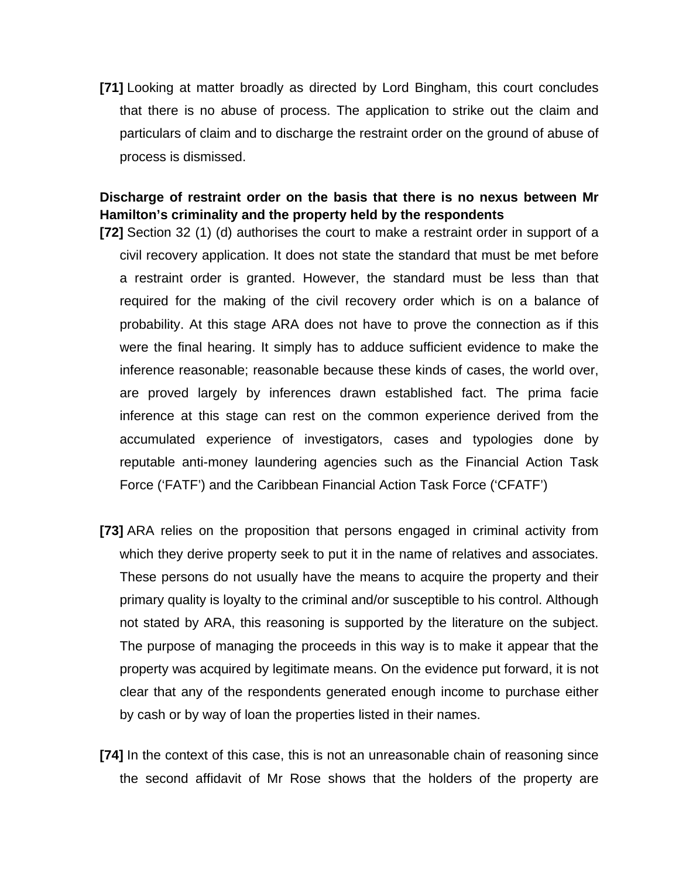**[71]** Looking at matter broadly as directed by Lord Bingham, this court concludes that there is no abuse of process. The application to strike out the claim and particulars of claim and to discharge the restraint order on the ground of abuse of process is dismissed.

### **Discharge of restraint order on the basis that there is no nexus between Mr Hamilton's criminality and the property held by the respondents**

- **[72]** Section 32 (1) (d) authorises the court to make a restraint order in support of a civil recovery application. It does not state the standard that must be met before a restraint order is granted. However, the standard must be less than that required for the making of the civil recovery order which is on a balance of probability. At this stage ARA does not have to prove the connection as if this were the final hearing. It simply has to adduce sufficient evidence to make the inference reasonable; reasonable because these kinds of cases, the world over, are proved largely by inferences drawn established fact. The prima facie inference at this stage can rest on the common experience derived from the accumulated experience of investigators, cases and typologies done by reputable anti-money laundering agencies such as the Financial Action Task Force ('FATF') and the Caribbean Financial Action Task Force ('CFATF')
- **[73]** ARA relies on the proposition that persons engaged in criminal activity from which they derive property seek to put it in the name of relatives and associates. These persons do not usually have the means to acquire the property and their primary quality is loyalty to the criminal and/or susceptible to his control. Although not stated by ARA, this reasoning is supported by the literature on the subject. The purpose of managing the proceeds in this way is to make it appear that the property was acquired by legitimate means. On the evidence put forward, it is not clear that any of the respondents generated enough income to purchase either by cash or by way of loan the properties listed in their names.
- **[74]** In the context of this case, this is not an unreasonable chain of reasoning since the second affidavit of Mr Rose shows that the holders of the property are